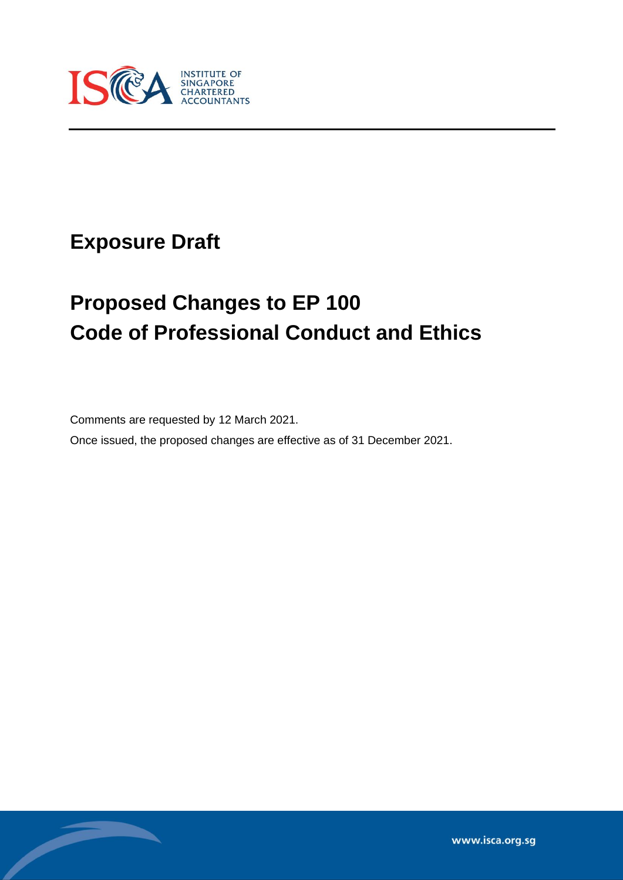

# **Exposure Draft**

Í

# **Proposed Changes to EP 100 Code of Professional Conduct and Ethics**

Comments are requested by 12 March 2021.

Once issued, the proposed changes are effective as of 31 December 2021.

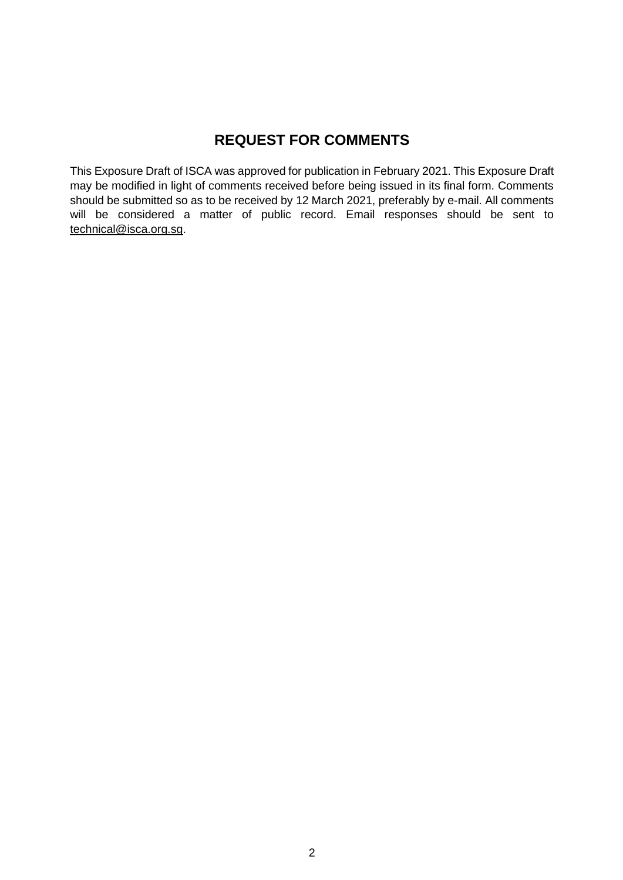## **REQUEST FOR COMMENTS**

This Exposure Draft of ISCA was approved for publication in February 2021. This Exposure Draft may be modified in light of comments received before being issued in its final form. Comments should be submitted so as to be received by 12 March 2021, preferably by e-mail. All comments will be considered a matter of public record. Email responses should be sent to [technical@isca.org.sg.](mailto:technical@isca.org.sg)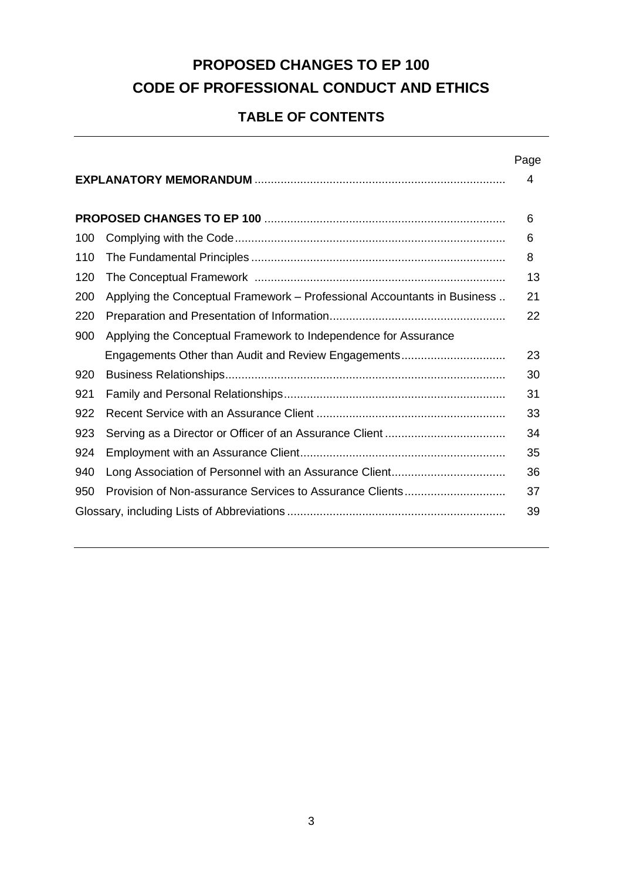## **PROPOSED CHANGES TO EP 100 CODE OF PROFESSIONAL CONDUCT AND ETHICS**

## **TABLE OF CONTENTS**

|     |                                                                          | Page |  |
|-----|--------------------------------------------------------------------------|------|--|
|     |                                                                          | 4    |  |
|     |                                                                          |      |  |
|     |                                                                          | 6    |  |
| 100 |                                                                          | 6    |  |
| 110 |                                                                          | 8    |  |
| 120 |                                                                          | 13   |  |
| 200 | Applying the Conceptual Framework - Professional Accountants in Business | 21   |  |
| 220 |                                                                          | 22   |  |
| 900 | Applying the Conceptual Framework to Independence for Assurance          |      |  |
|     | Engagements Other than Audit and Review Engagements                      | 23   |  |
| 920 |                                                                          | 30   |  |
| 921 |                                                                          | 31   |  |
| 922 |                                                                          | 33   |  |
| 923 |                                                                          | 34   |  |
| 924 |                                                                          | 35   |  |
| 940 |                                                                          | 36   |  |
| 950 |                                                                          | 37   |  |
| 39  |                                                                          |      |  |
|     |                                                                          |      |  |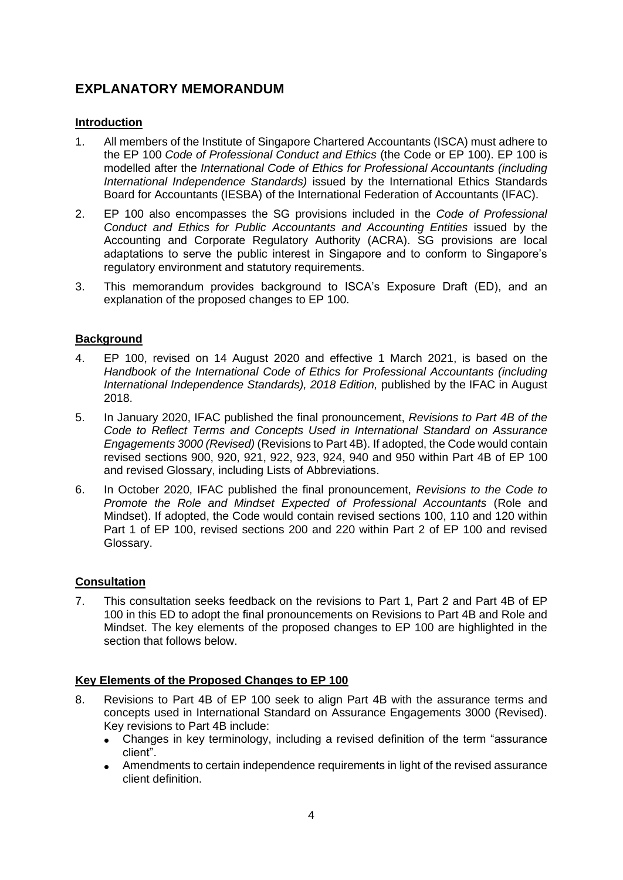## **EXPLANATORY MEMORANDUM**

#### **Introduction**

- 1. All members of the Institute of Singapore Chartered Accountants (ISCA) must adhere to the EP 100 *Code of Professional Conduct and Ethics* (the Code or EP 100). EP 100 is modelled after the *International Code of Ethics for Professional Accountants (including International Independence Standards)* issued by the International Ethics Standards Board for Accountants (IESBA) of the International Federation of Accountants (IFAC).
- 2. EP 100 also encompasses the SG provisions included in the *Code of Professional Conduct and Ethics for Public Accountants and Accounting Entities* issued by the Accounting and Corporate Regulatory Authority (ACRA). SG provisions are local adaptations to serve the public interest in Singapore and to conform to Singapore's regulatory environment and statutory requirements.
- 3. This memorandum provides background to ISCA's Exposure Draft (ED), and an explanation of the proposed changes to EP 100.

#### **Background**

- 4. EP 100, revised on 14 August 2020 and effective 1 March 2021, is based on the *Handbook of the International Code of Ethics for Professional Accountants (including International Independence Standards), 2018 Edition,* published by the IFAC in August 2018.
- 5. In January 2020, IFAC published the final pronouncement, *Revisions to Part 4B of the Code to Reflect Terms and Concepts Used in International Standard on Assurance Engagements 3000 (Revised)* (Revisions to Part 4B). If adopted, the Code would contain revised sections 900, 920, 921, 922, 923, 924, 940 and 950 within Part 4B of EP 100 and revised Glossary, including Lists of Abbreviations.
- 6. In October 2020, IFAC published the final pronouncement, *Revisions to the Code to Promote the Role and Mindset Expected of Professional Accountants* (Role and Mindset). If adopted, the Code would contain revised sections 100, 110 and 120 within Part 1 of EP 100, revised sections 200 and 220 within Part 2 of EP 100 and revised Glossary.

#### **Consultation**

7. This consultation seeks feedback on the revisions to Part 1, Part 2 and Part 4B of EP 100 in this ED to adopt the final pronouncements on Revisions to Part 4B and Role and Mindset. The key elements of the proposed changes to EP 100 are highlighted in the section that follows below.

#### **Key Elements of the Proposed Changes to EP 100**

- 8. Revisions to Part 4B of EP 100 seek to align Part 4B with the assurance terms and concepts used in International Standard on Assurance Engagements 3000 (Revised). Key revisions to Part 4B include:
	- Changes in key terminology, including a revised definition of the term "assurance client".
	- Amendments to certain independence requirements in light of the revised assurance client definition.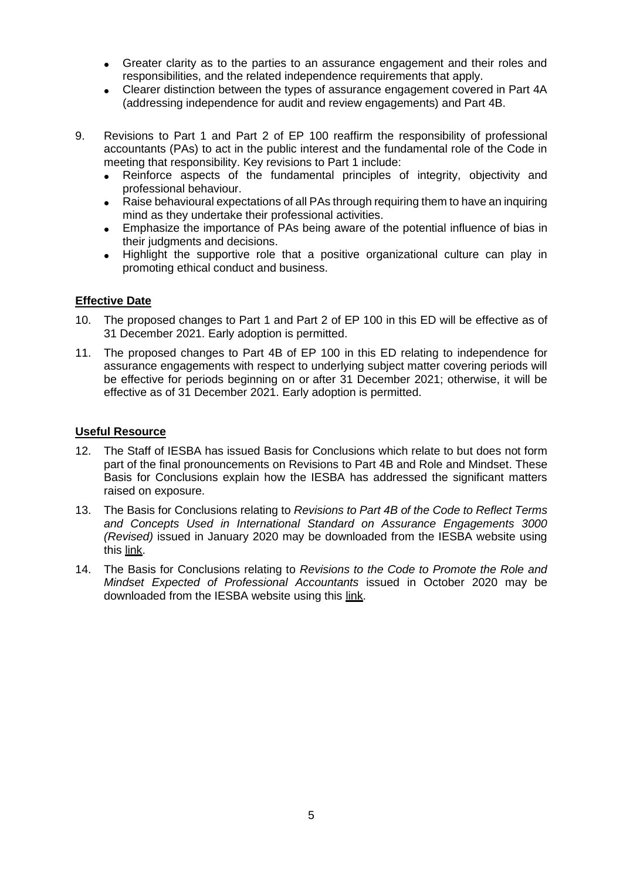- Greater clarity as to the parties to an assurance engagement and their roles and responsibilities, and the related independence requirements that apply.
- Clearer distinction between the types of assurance engagement covered in Part 4A (addressing independence for audit and review engagements) and Part 4B.
- 9. Revisions to Part 1 and Part 2 of EP 100 reaffirm the responsibility of professional accountants (PAs) to act in the public interest and the fundamental role of the Code in meeting that responsibility. Key revisions to Part 1 include:
	- Reinforce aspects of the fundamental principles of integrity, objectivity and professional behaviour.
	- Raise behavioural expectations of all PAs through requiring them to have an inquiring mind as they undertake their professional activities.
	- Emphasize the importance of PAs being aware of the potential influence of bias in their judgments and decisions.
	- Highlight the supportive role that a positive organizational culture can play in promoting ethical conduct and business.

#### **Effective Date**

- 10. The proposed changes to Part 1 and Part 2 of EP 100 in this ED will be effective as of 31 December 2021. Early adoption is permitted.
- 11. The proposed changes to Part 4B of EP 100 in this ED relating to independence for assurance engagements with respect to underlying subject matter covering periods will be effective for periods beginning on or [after 3](file:///G:/IFAC/x-apple-data-detectors:/4)1 December 2021; otherwise, it will be effective as of 31 December 2021. Early adoption is permitted.

#### **Useful Resource**

- 12. The Staff of IESBA has issued Basis for Conclusions which relate to but does not form part of the final pronouncements on Revisions to Part 4B and Role and Mindset. These Basis for Conclusions explain how the IESBA has addressed the significant matters raised on exposure.
- 13. The Basis for Conclusions relating to *Revisions to Part 4B of the Code to Reflect Terms and Concepts Used in International Standard on Assurance Engagements 3000 (Revised)* issued in January 2020 may be downloaded from the IESBA website using this [link.](https://www.ethicsboard.org/publications/final-pronouncement-alignment-part-4b-code-isae-3000-revised)
- 14. The Basis for Conclusions relating to *Revisions to the Code to Promote the Role and Mindset Expected of Professional Accountants* issued in October 2020 may be downloaded from the IESBA website using this [link.](https://www.ethicsboard.org/publications/final-pronouncement-revisions-code-promote-role-and-mindset-expected-professional-accountants)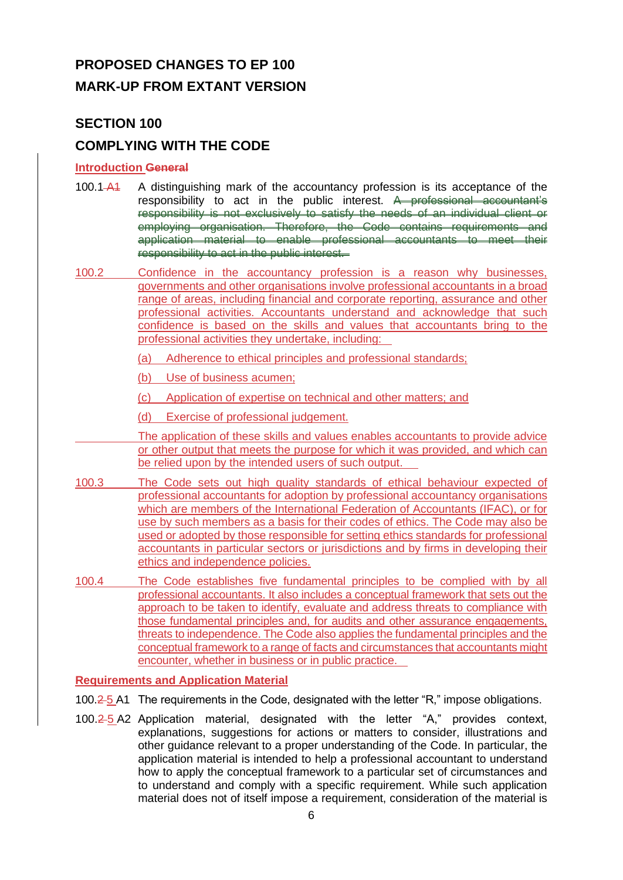## **PROPOSED CHANGES TO EP 100 MARK-UP FROM EXTANT VERSION**

## **SECTION 100**

## **COMPLYING WITH THE CODE**

#### **Introduction General**

- 100.1 A1 A distinguishing mark of the accountancy profession is its acceptance of the responsibility to act in the public interest. A professional accountant's responsibility is not exclusively to satisfy the needs of an individual client or employing organisation. Therefore, the Code contains requirements and application material to enable professional accountants to meet their responsibility to act in the public interest.
- 100.2 Confidence in the accountancy profession is a reason why businesses, governments and other organisations involve professional accountants in a broad range of areas, including financial and corporate reporting, assurance and other professional activities. Accountants understand and acknowledge that such confidence is based on the skills and values that accountants bring to the professional activities they undertake, including:
	- (a) Adherence to ethical principles and professional standards;
	- (b) Use of business acumen;
	- (c) Application of expertise on technical and other matters; and
	- (d) Exercise of professional judgement.
	- The application of these skills and values enables accountants to provide advice or other output that meets the purpose for which it was provided, and which can be relied upon by the intended users of such output.
- 100.3 The Code sets out high quality standards of ethical behaviour expected of professional accountants for adoption by professional accountancy organisations which are members of the International Federation of Accountants (IFAC), or for use by such members as a basis for their codes of ethics. The Code may also be used or adopted by those responsible for setting ethics standards for professional accountants in particular sectors or jurisdictions and by firms in developing their ethics and independence policies.
- 100.4 The Code establishes five fundamental principles to be complied with by all professional accountants. It also includes a conceptual framework that sets out the approach to be taken to identify, evaluate and address threats to compliance with those fundamental principles and, for audits and other assurance engagements, threats to independence. The Code also applies the fundamental principles and the conceptual framework to a range of facts and circumstances that accountants might encounter, whether in business or in public practice.

#### **Requirements and Application Material**

- 100.2-5 A1 The requirements in the Code, designated with the letter "R," impose obligations.
- 100.2 5 A2 Application material, designated with the letter "A," provides context, explanations, suggestions for actions or matters to consider, illustrations and other guidance relevant to a proper understanding of the Code. In particular, the application material is intended to help a professional accountant to understand how to apply the conceptual framework to a particular set of circumstances and to understand and comply with a specific requirement. While such application material does not of itself impose a requirement, consideration of the material is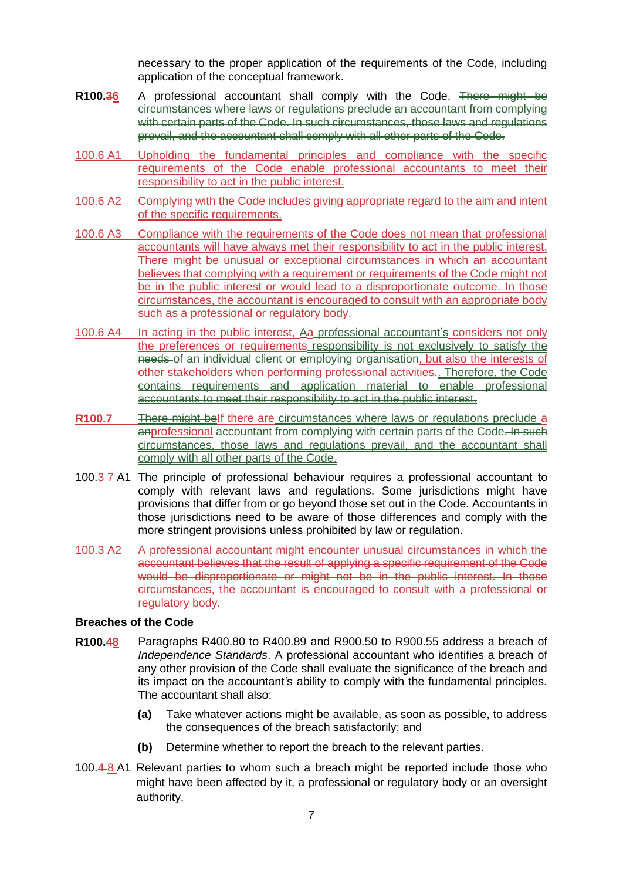necessary to the proper application of the requirements of the Code, including application of the conceptual framework.

- **R100.36** A professional accountant shall comply with the Code. There might be circumstances where laws or regulations preclude an accountant from complying with certain parts of the Code. In such circumstances, those laws and regulations prevail, and the accountant shall comply with all other parts of the Code.
- 100.6 A1 Upholding the fundamental principles and compliance with the specific requirements of the Code enable professional accountants to meet their responsibility to act in the public interest.
- 100.6 A2 Complying with the Code includes giving appropriate regard to the aim and intent of the specific requirements.
- 100.6 A3 Compliance with the requirements of the Code does not mean that professional accountants will have always met their responsibility to act in the public interest. There might be unusual or exceptional circumstances in which an accountant believes that complying with a requirement or requirements of the Code might not be in the public interest or would lead to a disproportionate outcome. In those circumstances, the accountant is encouraged to consult with an appropriate body such as a professional or regulatory body.
- 100.6 A4 In acting in the public interest, Aa professional accountant's considers not only the preferences or requirements responsibility is not exclusively to satisfy the needs of an individual client or employing organisation, but also the interests of other stakeholders when performing professional activities.. Therefore, the Code contains requirements and application material to enable professional accountants to meet their responsibility to act in the public interest.
- **R100.7** There might belf there are circumstances where laws or regulations preclude a anprofessional accountant from complying with certain parts of the Code. In such circumstances, those laws and regulations prevail, and the accountant shall comply with all other parts of the Code.
- 100.3 7 A1 The principle of professional behaviour requires a professional accountant to comply with relevant laws and regulations. Some jurisdictions might have provisions that differ from or go beyond those set out in the Code. Accountants in those jurisdictions need to be aware of those differences and comply with the more stringent provisions unless prohibited by law or regulation.
- 100.3 A2 A professional accountant might encounter unusual circumstances in which the accountant believes that the result of applying a specific requirement of the Code would be disproportionate or might not be in the public interest. In those circumstances, the accountant is encouraged to consult with a professional or regulatory body.

#### **Breaches of the Code**

- **R100.48** Paragraphs R400.80 to R400.89 and R900.50 to R900.55 address a breach of *Independence Standards*. A professional accountant who identifies a breach of any other provision of the Code shall evaluate the significance of the breach and its impact on the accountant*'*s ability to comply with the fundamental principles. The accountant shall also:
	- **(a)** Take whatever actions might be available, as soon as possible, to address the consequences of the breach satisfactorily; and
	- **(b)** Determine whether to report the breach to the relevant parties.
- 100.4 8 A1 Relevant parties to whom such a breach might be reported include those who might have been affected by it, a professional or regulatory body or an oversight authority.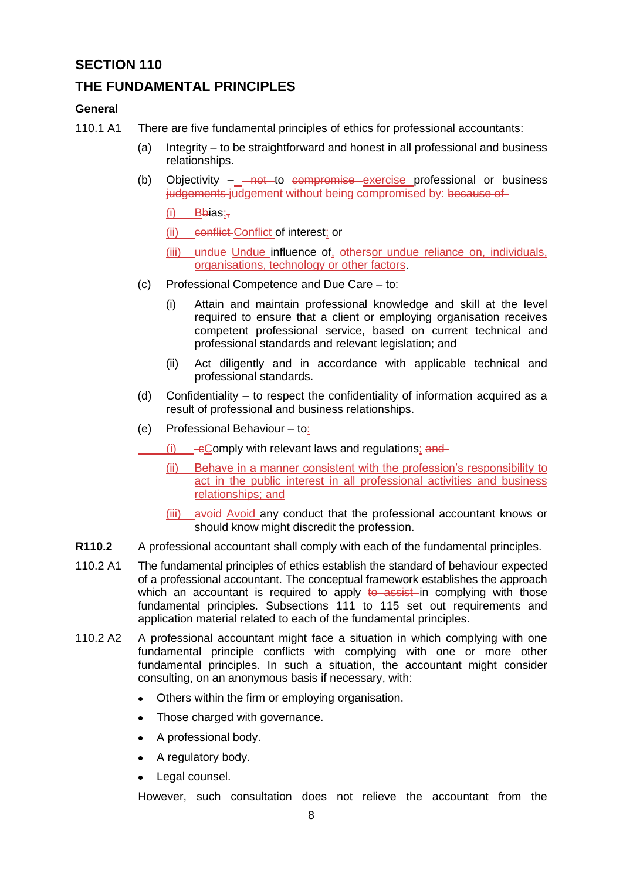## **THE FUNDAMENTAL PRINCIPLES**

#### **General**

- 110.1 A1 There are five fundamental principles of ethics for professional accountants:
	- (a) Integrity to be straightforward and honest in all professional and business relationships.
	- (b) Objectivity  $\frac{1}{100}$  not to compromise exercise professional or business judgements judgement without being compromised by: because of

 $(i)$  Bbias:

(ii) conflict Conflict of interest; or

- (iii) undue Undue influence of, othersor undue reliance on, individuals, organisations, technology or other factors.
- (c) Professional Competence and Due Care to:
	- (i) Attain and maintain professional knowledge and skill at the level required to ensure that a client or employing organisation receives competent professional service, based on current technical and professional standards and relevant legislation; and
	- (ii) Act diligently and in accordance with applicable technical and professional standards.
- (d) Confidentiality to respect the confidentiality of information acquired as a result of professional and business relationships.
- (e) Professional Behaviour to:
	- $(i)$   $\epsilon$ Comply with relevant laws and regulations; and
	- (ii) Behave in a manner consistent with the profession's responsibility to act in the public interest in all professional activities and business relationships; and
	- (iii) avoid Avoid any conduct that the professional accountant knows or should know might discredit the profession.
- **R110.2** A professional accountant shall comply with each of the fundamental principles.
- 110.2 A1 The fundamental principles of ethics establish the standard of behaviour expected of a professional accountant. The conceptual framework establishes the approach which an accountant is required to apply  $t\theta$  assist in complying with those fundamental principles. Subsections 111 to 115 set out requirements and application material related to each of the fundamental principles.
- 110.2 A2 A professional accountant might face a situation in which complying with one fundamental principle conflicts with complying with one or more other fundamental principles. In such a situation, the accountant might consider consulting, on an anonymous basis if necessary, with:
	- Others within the firm or employing organisation.
	- Those charged with governance.
	- A professional body.
	- A regulatory body.
	- Legal counsel.

However, such consultation does not relieve the accountant from the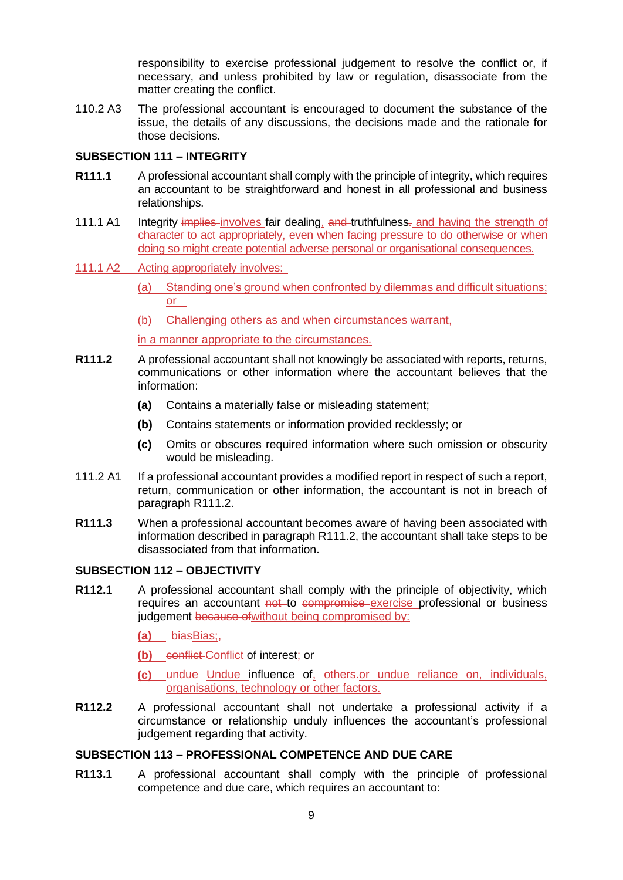responsibility to exercise professional judgement to resolve the conflict or, if necessary, and unless prohibited by law or regulation, disassociate from the matter creating the conflict.

110.2 A3 The professional accountant is encouraged to document the substance of the issue, the details of any discussions, the decisions made and the rationale for those decisions.

#### **SUBSECTION 111 – INTEGRITY**

- **R111.1** A professional accountant shall comply with the principle of integrity, which requires an accountant to be straightforward and honest in all professional and business relationships.
- 111.1 A1 Integrity implies involves fair dealing, and truthfulness- and having the strength of character to act appropriately, even when facing pressure to do otherwise or when doing so might create potential adverse personal or organisational consequences.
- 111.1 A2 Acting appropriately involves:
	- (a) Standing one's ground when confronted by dilemmas and difficult situations; or
	- (b) Challenging others as and when circumstances warrant,

in a manner appropriate to the circumstances.

- **R111.2** A professional accountant shall not knowingly be associated with reports, returns, communications or other information where the accountant believes that the information:
	- **(a)** Contains a materially false or misleading statement;
	- **(b)** Contains statements or information provided recklessly; or
	- **(c)** Omits or obscures required information where such omission or obscurity would be misleading.
- 111.2 A1 If a professional accountant provides a modified report in respect of such a report, return, communication or other information, the accountant is not in breach of paragraph R111.2.
- **R111.3** When a professional accountant becomes aware of having been associated with information described in paragraph R111.2, the accountant shall take steps to be disassociated from that information.

#### **SUBSECTION 112 – OBJECTIVITY**

- **R112.1** A professional accountant shall comply with the principle of objectivity, which requires an accountant not to compromise exercise professional or business judgement because of without being compromised by:
	- (a) biasBias;-
	- **(b)** conflict Conflict of interest; or
	- **(c)** undue Undue influence of, others.or undue reliance on, individuals, organisations, technology or other factors.
- **R112.2** A professional accountant shall not undertake a professional activity if a circumstance or relationship unduly influences the accountant's professional judgement regarding that activity.

#### **SUBSECTION 113 – PROFESSIONAL COMPETENCE AND DUE CARE**

**R113.1** A professional accountant shall comply with the principle of professional competence and due care, which requires an accountant to: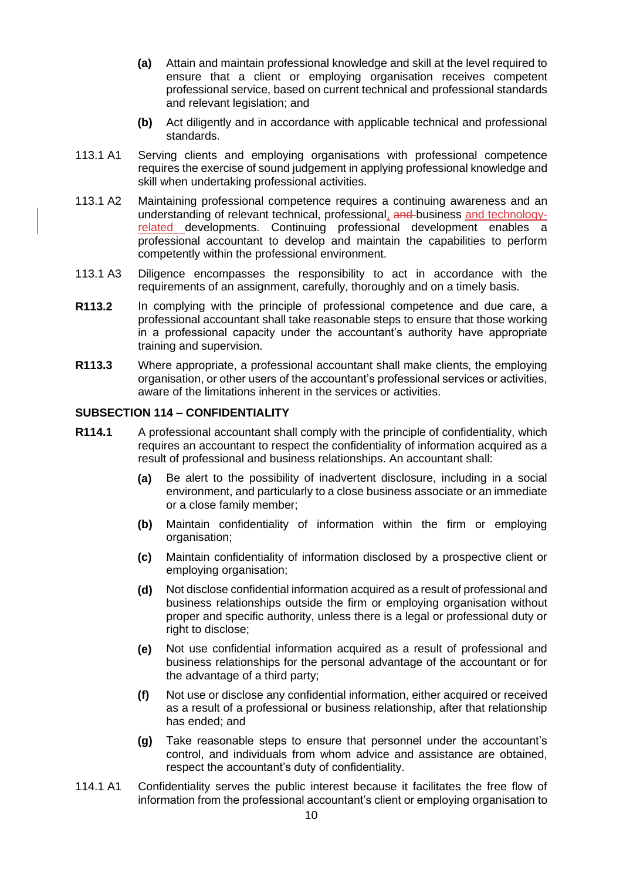- **(a)** Attain and maintain professional knowledge and skill at the level required to ensure that a client or employing organisation receives competent professional service, based on current technical and professional standards and relevant legislation; and
- **(b)** Act diligently and in accordance with applicable technical and professional standards.
- 113.1 A1 Serving clients and employing organisations with professional competence requires the exercise of sound judgement in applying professional knowledge and skill when undertaking professional activities.
- 113.1 A2 Maintaining professional competence requires a continuing awareness and an understanding of relevant technical, professional, and business and technologyrelated developments. Continuing professional development enables a professional accountant to develop and maintain the capabilities to perform competently within the professional environment.
- 113.1 A3 Diligence encompasses the responsibility to act in accordance with the requirements of an assignment, carefully, thoroughly and on a timely basis.
- **R113.2** In complying with the principle of professional competence and due care, a professional accountant shall take reasonable steps to ensure that those working in a professional capacity under the accountant's authority have appropriate training and supervision.
- **R113.3** Where appropriate, a professional accountant shall make clients, the employing organisation, or other users of the accountant's professional services or activities, aware of the limitations inherent in the services or activities.

#### **SUBSECTION 114 – CONFIDENTIALITY**

- **R114.1** A professional accountant shall comply with the principle of confidentiality, which requires an accountant to respect the confidentiality of information acquired as a result of professional and business relationships. An accountant shall:
	- **(a)** Be alert to the possibility of inadvertent disclosure, including in a social environment, and particularly to a close business associate or an immediate or a close family member;
	- **(b)** Maintain confidentiality of information within the firm or employing organisation;
	- **(c)** Maintain confidentiality of information disclosed by a prospective client or employing organisation;
	- **(d)** Not disclose confidential information acquired as a result of professional and business relationships outside the firm or employing organisation without proper and specific authority, unless there is a legal or professional duty or right to disclose;
	- **(e)** Not use confidential information acquired as a result of professional and business relationships for the personal advantage of the accountant or for the advantage of a third party;
	- **(f)** Not use or disclose any confidential information, either acquired or received as a result of a professional or business relationship, after that relationship has ended; and
	- **(g)** Take reasonable steps to ensure that personnel under the accountant's control, and individuals from whom advice and assistance are obtained, respect the accountant's duty of confidentiality.
- 114.1 A1 Confidentiality serves the public interest because it facilitates the free flow of information from the professional accountant's client or employing organisation to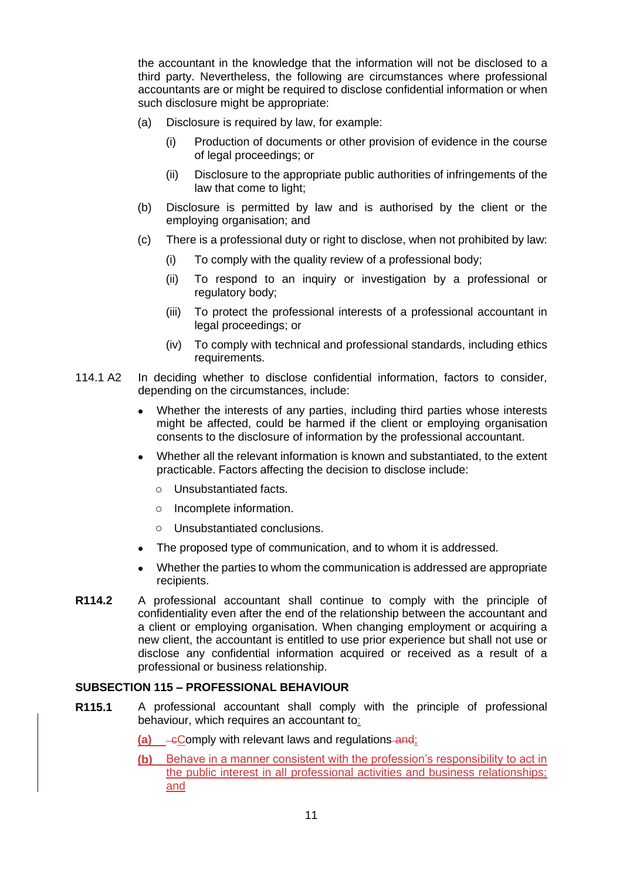the accountant in the knowledge that the information will not be disclosed to a third party. Nevertheless, the following are circumstances where professional accountants are or might be required to disclose confidential information or when such disclosure might be appropriate:

- (a) Disclosure is required by law, for example:
	- (i) Production of documents or other provision of evidence in the course of legal proceedings; or
	- (ii) Disclosure to the appropriate public authorities of infringements of the law that come to light;
- (b) Disclosure is permitted by law and is authorised by the client or the employing organisation; and
- (c) There is a professional duty or right to disclose, when not prohibited by law:
	- (i) To comply with the quality review of a professional body;
	- (ii) To respond to an inquiry or investigation by a professional or regulatory body;
	- (iii) To protect the professional interests of a professional accountant in legal proceedings; or
	- (iv) To comply with technical and professional standards, including ethics requirements.
- 114.1 A2 In deciding whether to disclose confidential information, factors to consider, depending on the circumstances, include:
	- Whether the interests of any parties, including third parties whose interests might be affected, could be harmed if the client or employing organisation consents to the disclosure of information by the professional accountant.
	- Whether all the relevant information is known and substantiated, to the extent practicable. Factors affecting the decision to disclose include:
		- o Unsubstantiated facts.
		- o Incomplete information.
		- o Unsubstantiated conclusions.
	- The proposed type of communication, and to whom it is addressed.
	- Whether the parties to whom the communication is addressed are appropriate recipients.
- **R114.2** A professional accountant shall continue to comply with the principle of confidentiality even after the end of the relationship between the accountant and a client or employing organisation. When changing employment or acquiring a new client, the accountant is entitled to use prior experience but shall not use or disclose any confidential information acquired or received as a result of a professional or business relationship.

#### **SUBSECTION 115 – PROFESSIONAL BEHAVIOUR**

- **R115.1** A professional accountant shall comply with the principle of professional behaviour, which requires an accountant to:
	- **(a)**  $-e$ Comply with relevant laws and regulations and;
	- **(b)** Behave in a manner consistent with the profession's responsibility to act in the public interest in all professional activities and business relationships; and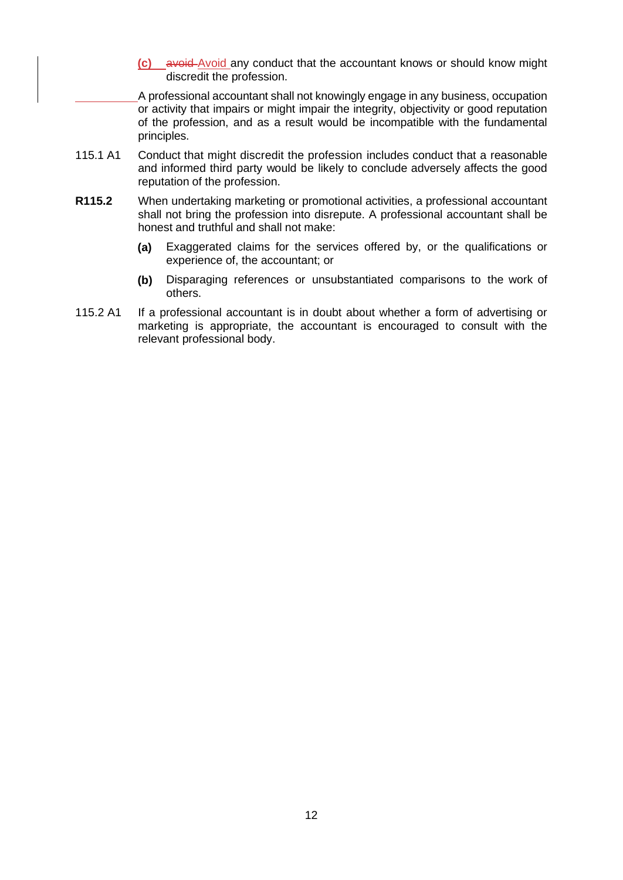**(c)** avoid Avoid any conduct that the accountant knows or should know might discredit the profession.

A professional accountant shall not knowingly engage in any business, occupation or activity that impairs or might impair the integrity, objectivity or good reputation of the profession, and as a result would be incompatible with the fundamental principles.

- 115.1 A1 Conduct that might discredit the profession includes conduct that a reasonable and informed third party would be likely to conclude adversely affects the good reputation of the profession.
- **R115.2** When undertaking marketing or promotional activities, a professional accountant shall not bring the profession into disrepute. A professional accountant shall be honest and truthful and shall not make:
	- **(a)** Exaggerated claims for the services offered by, or the qualifications or experience of, the accountant; or
	- **(b)** Disparaging references or unsubstantiated comparisons to the work of others.
- 115.2 A1 If a professional accountant is in doubt about whether a form of advertising or marketing is appropriate, the accountant is encouraged to consult with the relevant professional body.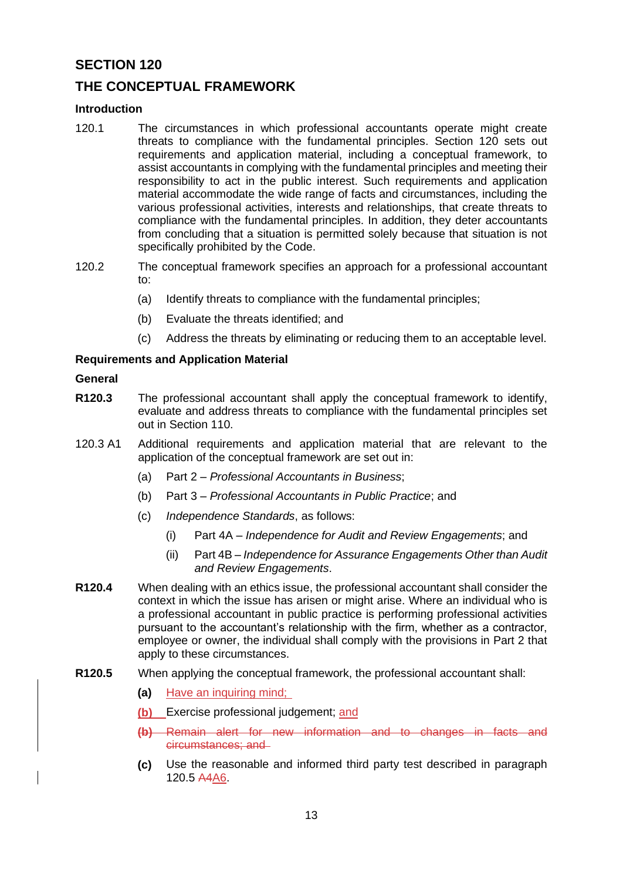## **THE CONCEPTUAL FRAMEWORK**

#### **Introduction**

- 120.1 The circumstances in which professional accountants operate might create threats to compliance with the fundamental principles. Section 120 sets out requirements and application material, including a conceptual framework, to assist accountants in complying with the fundamental principles and meeting their responsibility to act in the public interest. Such requirements and application material accommodate the wide range of facts and circumstances, including the various professional activities, interests and relationships, that create threats to compliance with the fundamental principles. In addition, they deter accountants from concluding that a situation is permitted solely because that situation is not specifically prohibited by the Code.
- 120.2 The conceptual framework specifies an approach for a professional accountant to:
	- (a) Identify threats to compliance with the fundamental principles;
	- (b) Evaluate the threats identified; and
	- (c) Address the threats by eliminating or reducing them to an acceptable level.

#### **Requirements and Application Material**

#### **General**

- **R120.3** The professional accountant shall apply the conceptual framework to identify, evaluate and address threats to compliance with the fundamental principles set out in Section 110.
- 120.3 A1 Additional requirements and application material that are relevant to the application of the conceptual framework are set out in:
	- (a) Part 2 *Professional Accountants in Business*;
	- (b) Part 3 *Professional Accountants in Public Practice*; and
	- (c) *Independence Standards*, as follows:
		- (i) Part 4A *Independence for Audit and Review Engagements*; and
		- (ii) Part 4B *Independence for Assurance Engagements Other than Audit and Review Engagements*.
- **R120.4** When dealing with an ethics issue, the professional accountant shall consider the context in which the issue has arisen or might arise. Where an individual who is a professional accountant in public practice is performing professional activities pursuant to the accountant's relationship with the firm, whether as a contractor, employee or owner, the individual shall comply with the provisions in Part 2 that apply to these circumstances.
- **R120.5** When applying the conceptual framework, the professional accountant shall:
	- **(a)** Have an inquiring mind;
	- **(b)** Exercise professional judgement; and
	- **(b)** Remain alert for new information and to changes in facts and circumstances; and
	- **(c)** Use the reasonable and informed third party test described in paragraph 120.5 A4A6.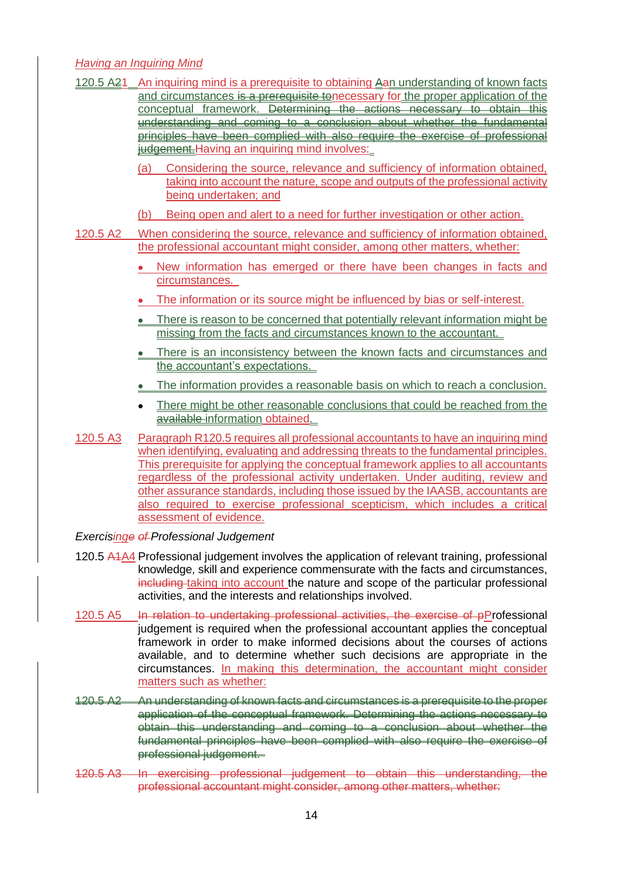#### *Having an Inquiring Mind*

|          | <u>r iaving an mgainng ivinia</u>                                                                                                                                                                                                                                                                                                                                                                                                                                                                                                            |
|----------|----------------------------------------------------------------------------------------------------------------------------------------------------------------------------------------------------------------------------------------------------------------------------------------------------------------------------------------------------------------------------------------------------------------------------------------------------------------------------------------------------------------------------------------------|
|          | 120.5 A21 An inquiring mind is a prerequisite to obtaining Aan understanding of known facts<br>and circumstances is a prerequisite tonecessary for the proper application of the<br>conceptual framework. Determining the actions necessary to obtain this<br>understanding and coming to a conclusion about whether the fundamental<br>principles have been complied with also require the exercise of professional<br>iudgement. Having an inquiring mind involves:                                                                        |
|          | Considering the source, relevance and sufficiency of information obtained,<br>(a)<br>taking into account the nature, scope and outputs of the professional activity<br>being undertaken; and                                                                                                                                                                                                                                                                                                                                                 |
|          | Being open and alert to a need for further investigation or other action.<br>(b)                                                                                                                                                                                                                                                                                                                                                                                                                                                             |
| 120.5 A2 | When considering the source, relevance and sufficiency of information obtained,<br>the professional accountant might consider, among other matters, whether:                                                                                                                                                                                                                                                                                                                                                                                 |
|          | New information has emerged or there have been changes in facts and                                                                                                                                                                                                                                                                                                                                                                                                                                                                          |
|          | circumstances.                                                                                                                                                                                                                                                                                                                                                                                                                                                                                                                               |
|          | The information or its source might be influenced by bias or self-interest.                                                                                                                                                                                                                                                                                                                                                                                                                                                                  |
|          | There is reason to be concerned that potentially relevant information might be<br>missing from the facts and circumstances known to the accountant.                                                                                                                                                                                                                                                                                                                                                                                          |
|          | There is an inconsistency between the known facts and circumstances and<br>the accountant's expectations.                                                                                                                                                                                                                                                                                                                                                                                                                                    |
|          | The information provides a reasonable basis on which to reach a conclusion.                                                                                                                                                                                                                                                                                                                                                                                                                                                                  |
|          | There might be other reasonable conclusions that could be reached from the<br>$\bullet$<br>available-information obtained.                                                                                                                                                                                                                                                                                                                                                                                                                   |
| 120.5 A3 | Paragraph R120.5 requires all professional accountants to have an inquiring mind<br>when identifying, evaluating and addressing threats to the fundamental principles.<br>This prerequisite for applying the conceptual framework applies to all accountants<br>regardless of the professional activity undertaken. Under auditing, review and<br>other assurance standards, including those issued by the IAASB, accountants are<br>also required to exercise professional scepticism, which includes a critical<br>assessment of evidence. |
|          | .                                                                                                                                                                                                                                                                                                                                                                                                                                                                                                                                            |

#### *Exercisinge of Professional Judgement*

- 120.5 A<sub>1</sub>A<sub>4</sub> Professional judgement involves the application of relevant training, professional knowledge, skill and experience commensurate with the facts and circumstances, including taking into account the nature and scope of the particular professional activities, and the interests and relationships involved.
- 120.5 A5 In relation to undertaking professional activities, the exercise of pProfessional judgement is required when the professional accountant applies the conceptual framework in order to make informed decisions about the courses of actions available, and to determine whether such decisions are appropriate in the circumstances. In making this determination, the accountant might consider matters such as whether:
- 120.5 A2 An understanding of known facts and circumstances is a prerequisite to the proper application of the conceptual framework. Determining the actions necessary to obtain this understanding and coming to a conclusion about whether the fundamental principles have been complied with also require the exercise of professional judgement.
- 120.5 A3 In exercising professional judgement to obtain this understanding, the professional accountant might consider, among other matters, whether: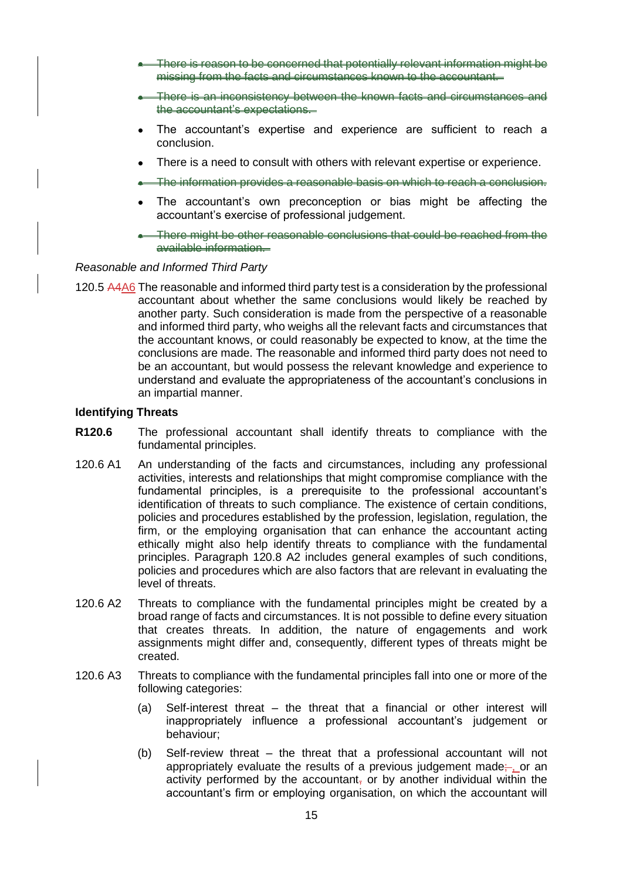- There is reason to be concerned that potentially relevant information might be missing from the facts and circumstances known to the accountant.
- There is an inconsistency between the known facts and circumstances and the accountant's expectations.
- The accountant's expertise and experience are sufficient to reach a conclusion.
- There is a need to consult with others with relevant expertise or experience.
- The information provides a reasonable basis on which to reach a conclusion.
- The accountant's own preconception or bias might be affecting the accountant's exercise of professional judgement.
- There might be other reasonable conclusions that could be reached from the available information.

#### *Reasonable and Informed Third Party*

120.5 A4A6 The reasonable and informed third party test is a consideration by the professional accountant about whether the same conclusions would likely be reached by another party. Such consideration is made from the perspective of a reasonable and informed third party, who weighs all the relevant facts and circumstances that the accountant knows, or could reasonably be expected to know, at the time the conclusions are made. The reasonable and informed third party does not need to be an accountant, but would possess the relevant knowledge and experience to understand and evaluate the appropriateness of the accountant's conclusions in an impartial manner.

#### **Identifying Threats**

- **R120.6** The professional accountant shall identify threats to compliance with the fundamental principles.
- 120.6 A1 An understanding of the facts and circumstances, including any professional activities, interests and relationships that might compromise compliance with the fundamental principles, is a prerequisite to the professional accountant's identification of threats to such compliance. The existence of certain conditions, policies and procedures established by the profession, legislation, regulation, the firm, or the employing organisation that can enhance the accountant acting ethically might also help identify threats to compliance with the fundamental principles. Paragraph 120.8 A2 includes general examples of such conditions, policies and procedures which are also factors that are relevant in evaluating the level of threats.
- 120.6 A2 Threats to compliance with the fundamental principles might be created by a broad range of facts and circumstances. It is not possible to define every situation that creates threats. In addition, the nature of engagements and work assignments might differ and, consequently, different types of threats might be created.
- 120.6 A3 Threats to compliance with the fundamental principles fall into one or more of the following categories:
	- (a) Self-interest threat the threat that a financial or other interest will inappropriately influence a professional accountant's judgement or behaviour;
	- (b) Self-review threat the threat that a professional accountant will not appropriately evaluate the results of a previous judgement made; or an activity performed by the accountant, or by another individual within the accountant's firm or employing organisation, on which the accountant will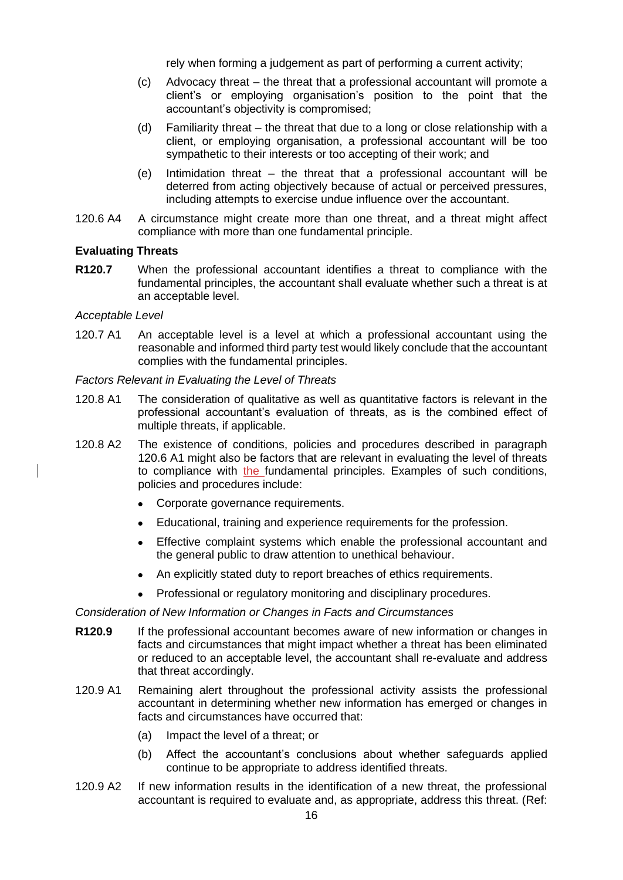rely when forming a judgement as part of performing a current activity;

- (c) Advocacy threat the threat that a professional accountant will promote a client's or employing organisation's position to the point that the accountant's objectivity is compromised;
- (d) Familiarity threat the threat that due to a long or close relationship with a client, or employing organisation, a professional accountant will be too sympathetic to their interests or too accepting of their work; and
- (e) Intimidation threat the threat that a professional accountant will be deterred from acting objectively because of actual or perceived pressures, including attempts to exercise undue influence over the accountant.
- 120.6 A4 A circumstance might create more than one threat, and a threat might affect compliance with more than one fundamental principle.

#### **Evaluating Threats**

**R120.7** When the professional accountant identifies a threat to compliance with the fundamental principles, the accountant shall evaluate whether such a threat is at an acceptable level.

#### *Acceptable Level*

120.7 A1 An acceptable level is a level at which a professional accountant using the reasonable and informed third party test would likely conclude that the accountant complies with the fundamental principles.

#### *Factors Relevant in Evaluating the Level of Threats*

- 120.8 A1 The consideration of qualitative as well as quantitative factors is relevant in the professional accountant's evaluation of threats, as is the combined effect of multiple threats, if applicable.
- 120.8 A2 The existence of conditions, policies and procedures described in paragraph 120.6 A1 might also be factors that are relevant in evaluating the level of threats to compliance with the fundamental principles. Examples of such conditions, policies and procedures include:
	- Corporate governance requirements.
	- Educational, training and experience requirements for the profession.
	- Effective complaint systems which enable the professional accountant and the general public to draw attention to unethical behaviour.
	- An explicitly stated duty to report breaches of ethics requirements.
	- Professional or regulatory monitoring and disciplinary procedures.

#### *Consideration of New Information or Changes in Facts and Circumstances*

- **R120.9** If the professional accountant becomes aware of new information or changes in facts and circumstances that might impact whether a threat has been eliminated or reduced to an acceptable level, the accountant shall re-evaluate and address that threat accordingly.
- 120.9 A1 Remaining alert throughout the professional activity assists the professional accountant in determining whether new information has emerged or changes in facts and circumstances have occurred that:
	- (a) Impact the level of a threat; or
	- (b) Affect the accountant's conclusions about whether safeguards applied continue to be appropriate to address identified threats.
- 120.9 A2 If new information results in the identification of a new threat, the professional accountant is required to evaluate and, as appropriate, address this threat. (Ref: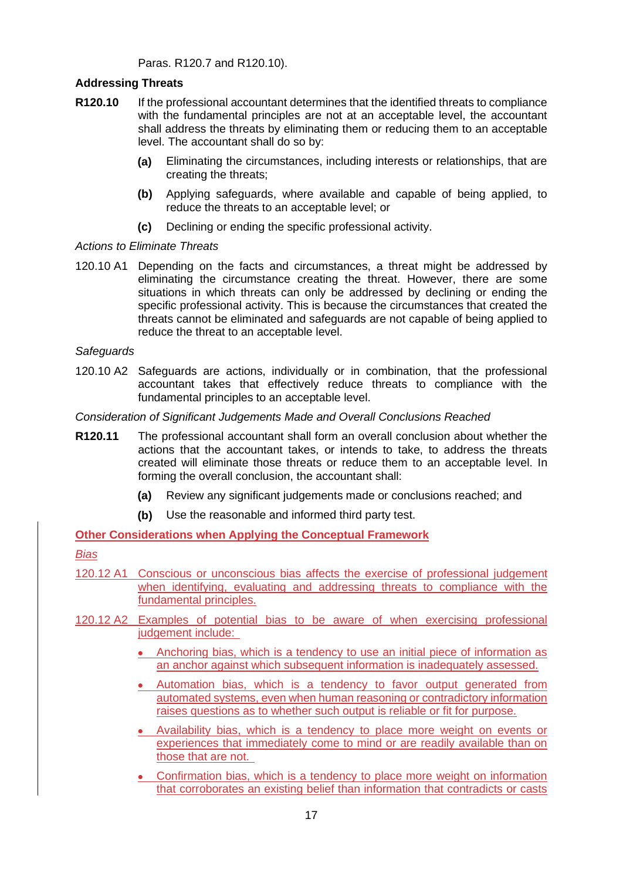Paras. R120.7 and R120.10).

#### **Addressing Threats**

- **R120.10** If the professional accountant determines that the identified threats to compliance with the fundamental principles are not at an acceptable level, the accountant shall address the threats by eliminating them or reducing them to an acceptable level. The accountant shall do so by:
	- **(a)** Eliminating the circumstances, including interests or relationships, that are creating the threats;
	- **(b)** Applying safeguards, where available and capable of being applied, to reduce the threats to an acceptable level; or
	- **(c)** Declining or ending the specific professional activity.

#### *Actions to Eliminate Threats*

120.10 A1 Depending on the facts and circumstances, a threat might be addressed by eliminating the circumstance creating the threat. However, there are some situations in which threats can only be addressed by declining or ending the specific professional activity. This is because the circumstances that created the threats cannot be eliminated and safeguards are not capable of being applied to reduce the threat to an acceptable level.

#### *Safeguards*

120.10 A2 Safeguards are actions, individually or in combination, that the professional accountant takes that effectively reduce threats to compliance with the fundamental principles to an acceptable level.

*Consideration of Significant Judgements Made and Overall Conclusions Reached* 

- **R120.11** The professional accountant shall form an overall conclusion about whether the actions that the accountant takes, or intends to take, to address the threats created will eliminate those threats or reduce them to an acceptable level. In forming the overall conclusion, the accountant shall:
	- **(a)** Review any significant judgements made or conclusions reached; and
	- **(b)** Use the reasonable and informed third party test.

**Other Considerations when Applying the Conceptual Framework**

#### *Bias*

- 120.12 A1 Conscious or unconscious bias affects the exercise of professional judgement when identifying, evaluating and addressing threats to compliance with the fundamental principles.
- 120.12 A2 Examples of potential bias to be aware of when exercising professional judgement include:
	- Anchoring bias, which is a tendency to use an initial piece of information as an anchor against which subsequent information is inadequately assessed.
	- Automation bias, which is a tendency to favor output generated from automated systems, even when human reasoning or contradictory information raises questions as to whether such output is reliable or fit for purpose.
	- Availability bias, which is a tendency to place more weight on events or experiences that immediately come to mind or are readily available than on those that are not.
	- Confirmation bias, which is a tendency to place more weight on information that corroborates an existing belief than information that contradicts or casts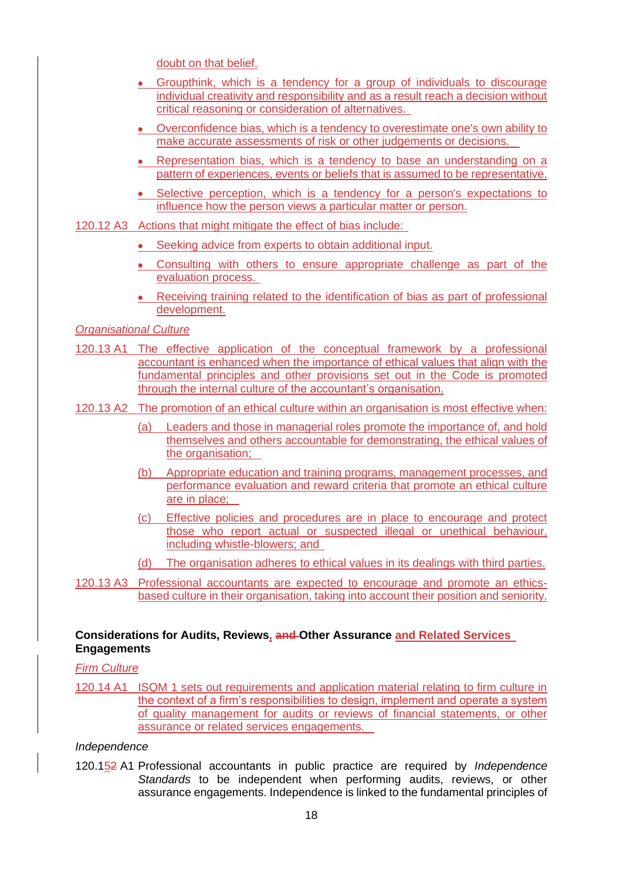doubt on that belief.

- Groupthink, which is a tendency for a group of individuals to discourage individual creativity and responsibility and as a result reach a decision without critical reasoning or consideration of alternatives.
- Overconfidence bias, which is a tendency to overestimate one's own ability to make accurate assessments of risk or other judgements or decisions.
- Representation bias, which is a tendency to base an understanding on a pattern of experiences, events or beliefs that is assumed to be representative.
- Selective perception, which is a tendency for a person's expectations to influence how the person views a particular matter or person.
- 120.12 A3 Actions that might mitigate the effect of bias include:
	- Seeking advice from experts to obtain additional input.
	- Consulting with others to ensure appropriate challenge as part of the evaluation process.
	- Receiving training related to the identification of bias as part of professional development.

*Organisational Culture*

- 120.13 A1 The effective application of the conceptual framework by a professional accountant is enhanced when the importance of ethical values that align with the fundamental principles and other provisions set out in the Code is promoted through the internal culture of the accountant's organisation.
- 120.13 A2 The promotion of an ethical culture within an organisation is most effective when:
	- (a) Leaders and those in managerial roles promote the importance of, and hold themselves and others accountable for demonstrating, the ethical values of the organisation:
	- (b) Appropriate education and training programs, management processes, and performance evaluation and reward criteria that promote an ethical culture are in place;
	- (c) Effective policies and procedures are in place to encourage and protect those who report actual or suspected illegal or unethical behaviour, including whistle-blowers; and
	- (d) The organisation adheres to ethical values in its dealings with third parties.
- 120.13 A3 Professional accountants are expected to encourage and promote an ethicsbased culture in their organisation, taking into account their position and seniority.

#### **Considerations for Audits, Reviews, and Other Assurance and Related Services Engagements**

#### *Firm Culture*

120.14 A1 ISQM 1 sets out requirements and application material relating to firm culture in the context of a firm's responsibilities to design, implement and operate a system of quality management for audits or reviews of financial statements, or other assurance or related services engagements.

#### *Independence*

120.152 A1 Professional accountants in public practice are required by *Independence Standards* to be independent when performing audits, reviews, or other assurance engagements. Independence is linked to the fundamental principles of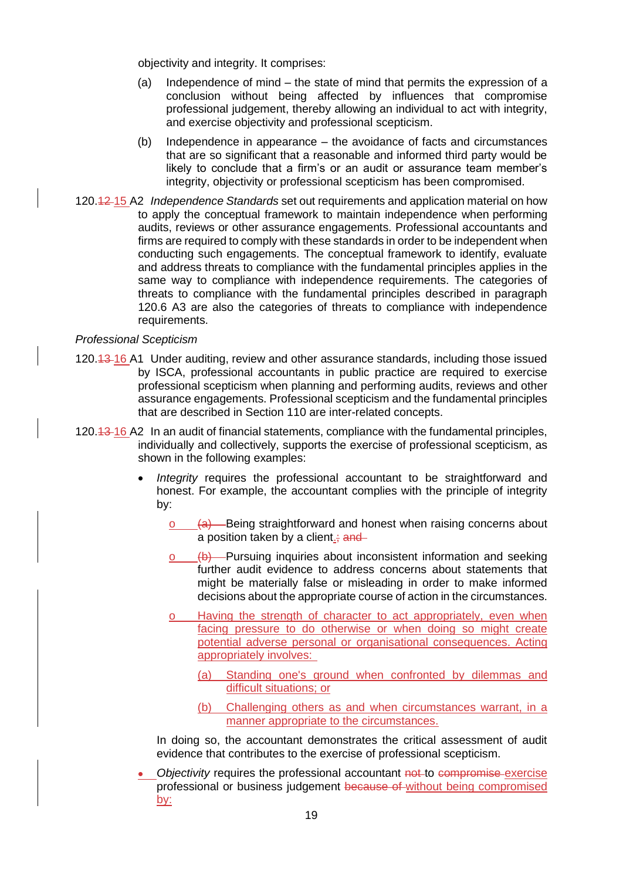objectivity and integrity. It comprises:

- (a) Independence of mind the state of mind that permits the expression of a conclusion without being affected by influences that compromise professional judgement, thereby allowing an individual to act with integrity, and exercise objectivity and professional scepticism.
- (b) Independence in appearance the avoidance of facts and circumstances that are so significant that a reasonable and informed third party would be likely to conclude that a firm's or an audit or assurance team member's integrity, objectivity or professional scepticism has been compromised.
- 120.12 15 A2 *Independence Standards* set out requirements and application material on how to apply the conceptual framework to maintain independence when performing audits, reviews or other assurance engagements. Professional accountants and firms are required to comply with these standards in order to be independent when conducting such engagements. The conceptual framework to identify, evaluate and address threats to compliance with the fundamental principles applies in the same way to compliance with independence requirements. The categories of threats to compliance with the fundamental principles described in paragraph 120.6 A3 are also the categories of threats to compliance with independence requirements.

#### *Professional Scepticism*

- 120.13 16 A1 Under auditing, review and other assurance standards, including those issued by ISCA, professional accountants in public practice are required to exercise professional scepticism when planning and performing audits, reviews and other assurance engagements. Professional scepticism and the fundamental principles that are described in Section 110 are inter-related concepts.
- 120.13 16 A2 In an audit of financial statements, compliance with the fundamental principles, individually and collectively, supports the exercise of professional scepticism, as shown in the following examples:
	- *Integrity* requires the professional accountant to be straightforward and honest. For example, the accountant complies with the principle of integrity by:
		- $(a)$  Being straightforward and honest when raising concerns about a position taken by a client.;  $\frac{1}{2}$  and
		- o (b) Pursuing inquiries about inconsistent information and seeking further audit evidence to address concerns about statements that might be materially false or misleading in order to make informed decisions about the appropriate course of action in the circumstances.
		- o Having the strength of character to act appropriately, even when facing pressure to do otherwise or when doing so might create potential adverse personal or organisational consequences. Acting appropriately involves:
			- (a) Standing one's ground when confronted by dilemmas and difficult situations; or
			- (b) Challenging others as and when circumstances warrant, in a manner appropriate to the circumstances.

In doing so, the accountant demonstrates the critical assessment of audit evidence that contributes to the exercise of professional scepticism.

**Objectivity requires the professional accountant not to compromise exercise** professional or business judgement because of without being compromised by: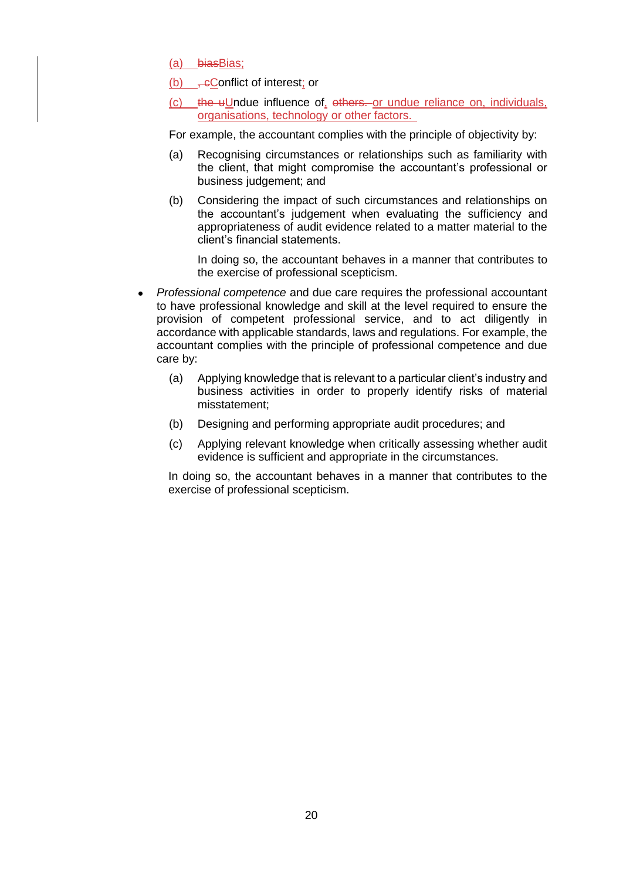(a) biasBias;

(b)  $\frac{1}{x}$  eConflict of interest; or

(c) the uUndue influence of, others. or undue reliance on, individuals, organisations, technology or other factors.

For example, the accountant complies with the principle of objectivity by:

- (a) Recognising circumstances or relationships such as familiarity with the client, that might compromise the accountant's professional or business judgement; and
- (b) Considering the impact of such circumstances and relationships on the accountant's judgement when evaluating the sufficiency and appropriateness of audit evidence related to a matter material to the client's financial statements.

In doing so, the accountant behaves in a manner that contributes to the exercise of professional scepticism.

- *Professional competence* and due care requires the professional accountant to have professional knowledge and skill at the level required to ensure the provision of competent professional service, and to act diligently in accordance with applicable standards, laws and regulations. For example, the accountant complies with the principle of professional competence and due care by:
	- (a) Applying knowledge that is relevant to a particular client's industry and business activities in order to properly identify risks of material misstatement;
	- (b) Designing and performing appropriate audit procedures; and
	- (c) Applying relevant knowledge when critically assessing whether audit evidence is sufficient and appropriate in the circumstances.

In doing so, the accountant behaves in a manner that contributes to the exercise of professional scepticism.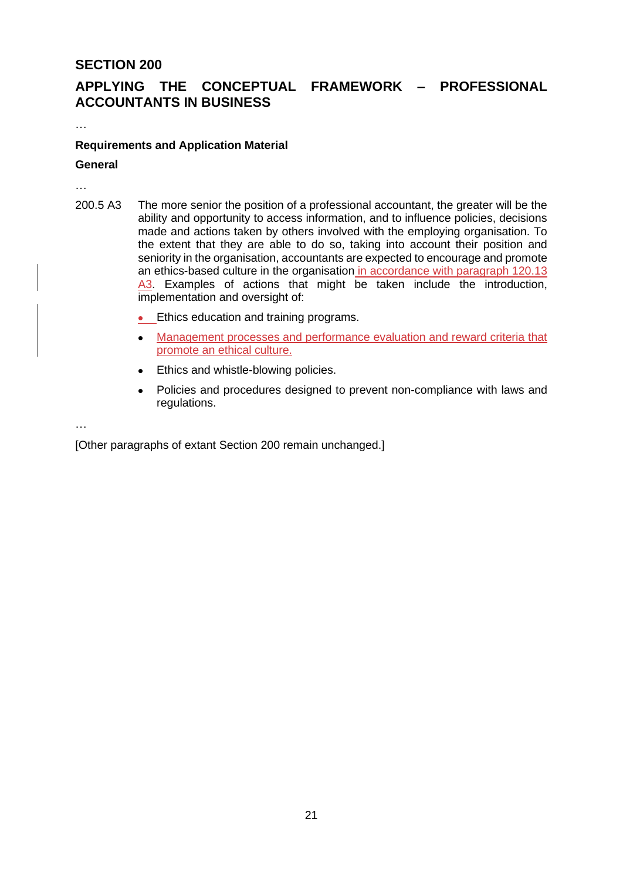# **ACCOUNTANTS IN BUSINESS**

**APPLYING THE CONCEPTUAL FRAMEWORK – PROFESSIONAL** 

## **Requirements and Application Material**

#### **General**

…

…

- 200.5 A3 The more senior the position of a professional accountant, the greater will be the ability and opportunity to access information, and to influence policies, decisions made and actions taken by others involved with the employing organisation. To the extent that they are able to do so, taking into account their position and seniority in the organisation, accountants are expected to encourage and promote an ethics-based culture in the organisation in accordance with paragraph 120.13 A3. Examples of actions that might be taken include the introduction, implementation and oversight of:
	- Ethics education and training programs.
	- Management processes and performance evaluation and reward criteria that promote an ethical culture.
	- Ethics and whistle-blowing policies.
	- Policies and procedures designed to prevent non-compliance with laws and regulations.

…

[Other paragraphs of extant Section 200 remain unchanged.]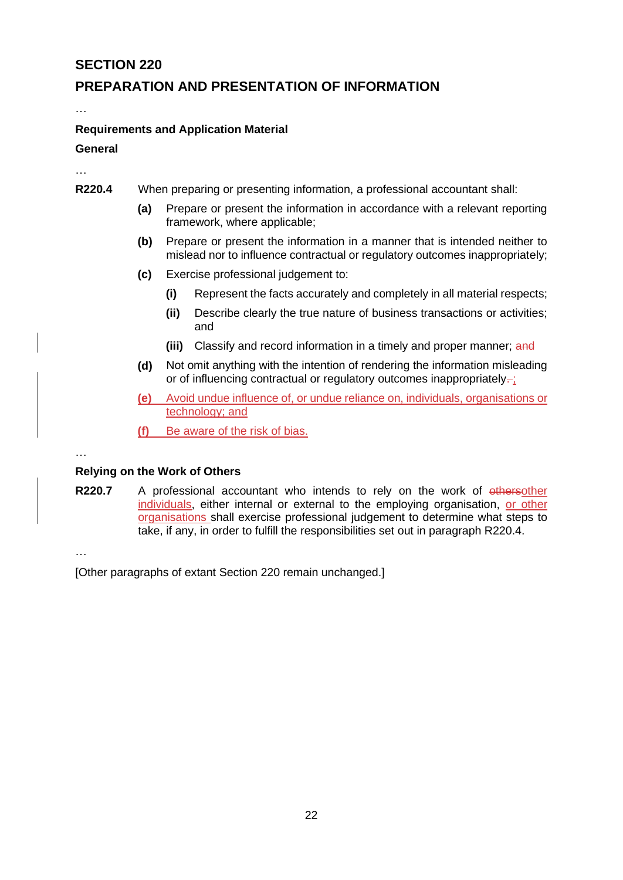## **PREPARATION AND PRESENTATION OF INFORMATION**

…

…

#### **Requirements and Application Material**

#### **General**

- **R220.4** When preparing or presenting information, a professional accountant shall:
	- **(a)** Prepare or present the information in accordance with a relevant reporting framework, where applicable;
	- **(b)** Prepare or present the information in a manner that is intended neither to mislead nor to influence contractual or regulatory outcomes inappropriately;
	- **(c)** Exercise professional judgement to:
		- **(i)** Represent the facts accurately and completely in all material respects;
		- **(ii)** Describe clearly the true nature of business transactions or activities; and
		- **(iii)** Classify and record information in a timely and proper manner; and
	- **(d)** Not omit anything with the intention of rendering the information misleading or of influencing contractual or regulatory outcomes inappropriately-;
	- **(e)** Avoid undue influence of, or undue reliance on, individuals, organisations or technology; and
	- **(f)** Be aware of the risk of bias.

…

#### **Relying on the Work of Others**

**R220.7** A professional accountant who intends to rely on the work of othersother individuals, either internal or external to the employing organisation, or other organisations shall exercise professional judgement to determine what steps to take, if any, in order to fulfill the responsibilities set out in paragraph R220.4.

…

[Other paragraphs of extant Section 220 remain unchanged.]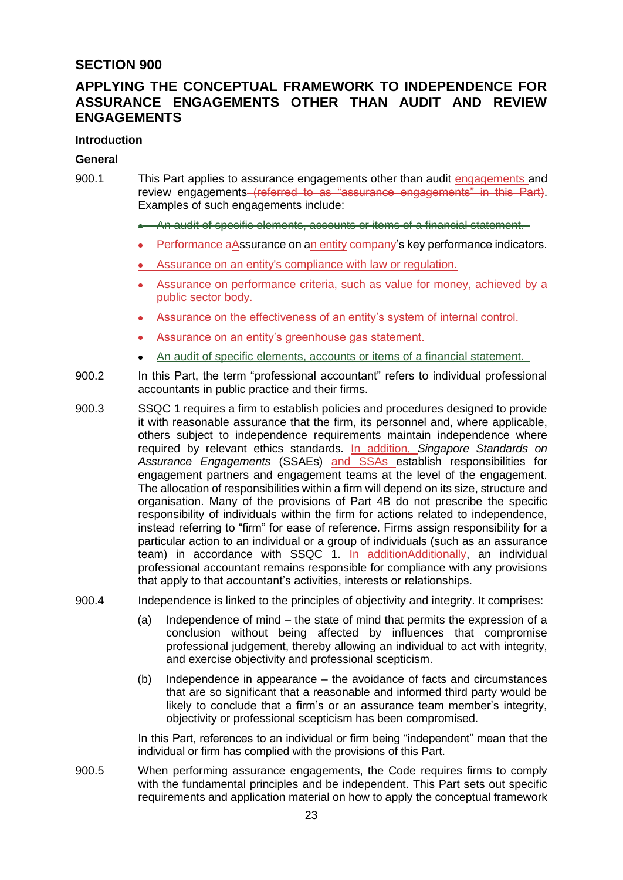## **APPLYING THE CONCEPTUAL FRAMEWORK TO INDEPENDENCE FOR ASSURANCE ENGAGEMENTS OTHER THAN AUDIT AND REVIEW ENGAGEMENTS**

#### **Introduction**

#### **General**

- 900.1 This Part applies to assurance engagements other than audit engagements and review engagements (referred to as "assurance engagements" in this Part). Examples of such engagements include:
	- An audit of specific elements, accounts or items of a financial statement.
	- Performance aAssurance on an entity company's key performance indicators.
	- Assurance on an entity's compliance with law or regulation.
	- Assurance on performance criteria, such as value for money, achieved by a public sector body.
	- Assurance on the effectiveness of an entity's system of internal control.
	- Assurance on an entity's greenhouse gas statement.
	- An audit of specific elements, accounts or items of a financial statement.
- 900.2 In this Part, the term "professional accountant" refers to individual professional accountants in public practice and their firms.
- 900.3 SSQC 1 requires a firm to establish policies and procedures designed to provide it with reasonable assurance that the firm, its personnel and, where applicable, others subject to independence requirements maintain independence where required by relevant ethics standards*.* In addition, *Singapore Standards on Assurance Engagements* (SSAEs) and SSAs establish responsibilities for engagement partners and engagement teams at the level of the engagement. The allocation of responsibilities within a firm will depend on its size, structure and organisation. Many of the provisions of Part 4B do not prescribe the specific responsibility of individuals within the firm for actions related to independence, instead referring to "firm" for ease of reference. Firms assign responsibility for a particular action to an individual or a group of individuals (such as an assurance team) in accordance with SSQC 1. In additionAdditionally, an individual professional accountant remains responsible for compliance with any provisions that apply to that accountant's activities, interests or relationships.
- 900.4 Independence is linked to the principles of objectivity and integrity. It comprises:
	- (a) Independence of mind the state of mind that permits the expression of a conclusion without being affected by influences that compromise professional judgement, thereby allowing an individual to act with integrity, and exercise objectivity and professional scepticism.
	- (b) Independence in appearance the avoidance of facts and circumstances that are so significant that a reasonable and informed third party would be likely to conclude that a firm's or an assurance team member's integrity, objectivity or professional scepticism has been compromised.

In this Part, references to an individual or firm being "independent" mean that the individual or firm has complied with the provisions of this Part.

900.5 When performing assurance engagements, the Code requires firms to comply with the fundamental principles and be independent. This Part sets out specific requirements and application material on how to apply the conceptual framework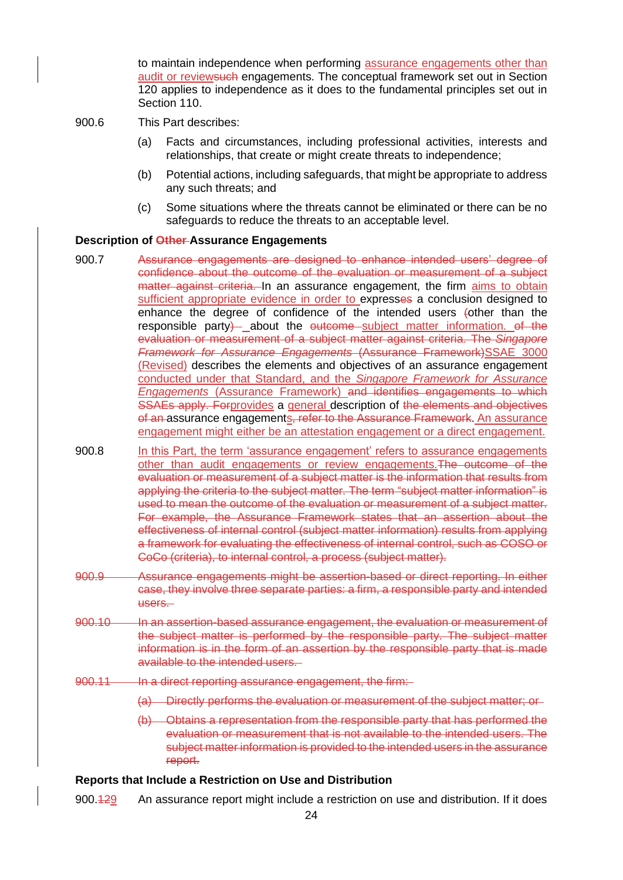to maintain independence when performing assurance engagements other than audit or reviewsuch engagements. The conceptual framework set out in Section 120 applies to independence as it does to the fundamental principles set out in Section 110.

- 900.6 This Part describes:
	- (a) Facts and circumstances, including professional activities, interests and relationships, that create or might create threats to independence;
	- (b) Potential actions, including safeguards, that might be appropriate to address any such threats; and
	- (c) Some situations where the threats cannot be eliminated or there can be no safeguards to reduce the threats to an acceptable level.

#### **Description of Other Assurance Engagements**

- 900.7 Assurance engagements are designed to enhance intended users' degree of confidence about the outcome of the evaluation or measurement of a subject matter against criteria. In an assurance engagement, the firm aims to obtain sufficient appropriate evidence in order to expresses a conclusion designed to enhance the degree of confidence of the intended users (other than the responsible party) about the outcome subject matter information. of the evaluation or measurement of a subject matter against criteria. The *Singapore Framework for Assurance Engagements* (Assurance Framework)SSAE 3000 (Revised) describes the elements and objectives of an assurance engagement conducted under that Standard, and the *Singapore Framework for Assurance Engagements* (Assurance Framework) and identifies engagements to which SSAEs apply. Forprovides a general description of the elements and objectives of an assurance engagements, refer to the Assurance Framework. An assurance engagement might either be an attestation engagement or a direct engagement.
- 900.8 In this Part, the term 'assurance engagement' refers to assurance engagements other than audit engagements or review engagements.The outcome of the evaluation or measurement of a subject matter is the information that results from applying the criteria to the subject matter. The term "subject matter information" is used to mean the outcome of the evaluation or measurement of a subject matter. For example, the Assurance Framework states that an assertion about the effectiveness of internal control (subject matter information) results from applying a framework for evaluating the effectiveness of internal control, such as COSO or CoCo (criteria), to internal control, a process (subject matter).
- 900.9 Assurance engagements might be assertion-based or direct reporting. In either case, they involve three separate parties: a firm, a responsible party and intended users.
- 900.10 In an assertion-based assurance engagement, the evaluation or measurement of the subject matter is performed by the responsible party. The subject matter information is in the form of an assertion by the responsible party that is made available to the intended users.
- 900.11 In a direct reporting assurance engagement, the firm:
	- (a) Directly performs the evaluation or measurement of the subject matter; or
	- (b) Obtains a representation from the responsible party that has performed the evaluation or measurement that is not available to the intended users. The subject matter information is provided to the intended users in the assurance report.

#### **Reports that Include a Restriction on Use and Distribution**

900.429 An assurance report might include a restriction on use and distribution. If it does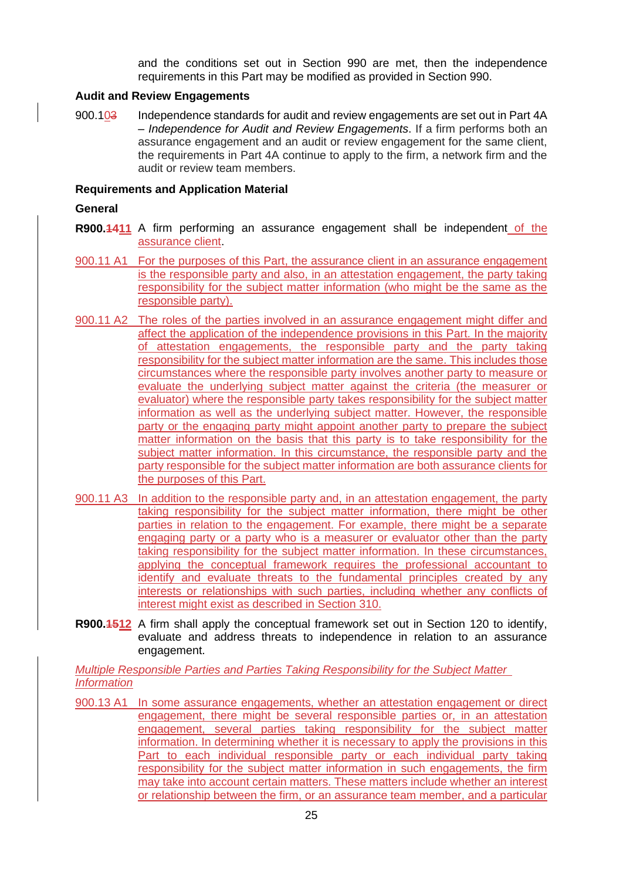and the conditions set out in Section 990 are met, then the independence requirements in this Part may be modified as provided in Section 990.

#### **Audit and Review Engagements**

900.103 Independence standards for audit and review engagements are set out in Part 4A – *Independence for Audit and Review Engagements*. If a firm performs both an assurance engagement and an audit or review engagement for the same client, the requirements in Part 4A continue to apply to the firm, a network firm and the audit or review team members.

#### **Requirements and Application Material**

#### **General**

- **R900.1411** A firm performing an assurance engagement shall be independent of the assurance client.
- 900.11 A1 For the purposes of this Part, the assurance client in an assurance engagement is the responsible party and also, in an attestation engagement, the party taking responsibility for the subject matter information (who might be the same as the responsible party).
- 900.11 A2 The roles of the parties involved in an assurance engagement might differ and affect the application of the independence provisions in this Part. In the majority of attestation engagements, the responsible party and the party taking responsibility for the subject matter information are the same. This includes those circumstances where the responsible party involves another party to measure or evaluate the underlying subject matter against the criteria (the measurer or evaluator) where the responsible party takes responsibility for the subject matter information as well as the underlying subject matter. However, the responsible party or the engaging party might appoint another party to prepare the subject matter information on the basis that this party is to take responsibility for the subject matter information. In this circumstance, the responsible party and the party responsible for the subject matter information are both assurance clients for the purposes of this Part.
- 900.11 A3 In addition to the responsible party and, in an attestation engagement, the party taking responsibility for the subject matter information, there might be other parties in relation to the engagement. For example, there might be a separate engaging party or a party who is a measurer or evaluator other than the party taking responsibility for the subject matter information. In these circumstances, applying the conceptual framework requires the professional accountant to identify and evaluate threats to the fundamental principles created by any interests or relationships with such parties, including whether any conflicts of interest might exist as described in Section 310.
- **R900.1512** A firm shall apply the conceptual framework set out in Section 120 to identify, evaluate and address threats to independence in relation to an assurance engagement.

*Multiple Responsible Parties and Parties Taking Responsibility for the Subject Matter Information*

900.13 A1 In some assurance engagements, whether an attestation engagement or direct engagement, there might be several responsible parties or, in an attestation engagement, several parties taking responsibility for the subject matter information. In determining whether it is necessary to apply the provisions in this Part to each individual responsible party or each individual party taking responsibility for the subject matter information in such engagements, the firm may take into account certain matters. These matters include whether an interest or relationship between the firm, or an assurance team member, and a particular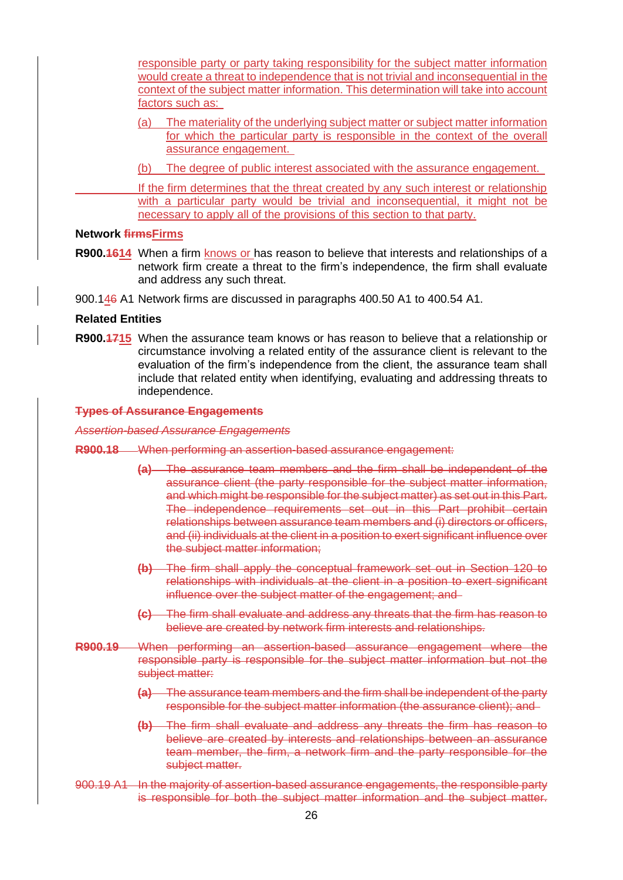responsible party or party taking responsibility for the subject matter information would create a threat to independence that is not trivial and inconsequential in the context of the subject matter information. This determination will take into account factors such as:

- (a) The materiality of the underlying subject matter or subject matter information for which the particular party is responsible in the context of the overall assurance engagement.
- (b) The degree of public interest associated with the assurance engagement.

If the firm determines that the threat created by any such interest or relationship with a particular party would be trivial and inconsequential, it might not be necessary to apply all of the provisions of this section to that party.

#### **Network firmsFirms**

- **R900.1614** When a firm knows or has reason to believe that interests and relationships of a network firm create a threat to the firm's independence, the firm shall evaluate and address any such threat.
- 900.146 A1 Network firms are discussed in paragraphs 400.50 A1 to 400.54 A1.

#### **Related Entities**

**R900.1715** When the assurance team knows or has reason to believe that a relationship or circumstance involving a related entity of the assurance client is relevant to the evaluation of the firm's independence from the client, the assurance team shall include that related entity when identifying, evaluating and addressing threats to independence.

#### **Types of Assurance Engagements**

*Assertion-based Assurance Engagements*

- **R900.18** When performing an assertion-based assurance engagement:
	- **(a)** The assurance team members and the firm shall be independent of the assurance client (the party responsible for the subject matter information, and which might be responsible for the subject matter) as set out in this Part. The independence requirements set out in this Part prohibit certain relationships between assurance team members and (i) directors or officers, and (ii) individuals at the client in a position to exert significant influence over the subject matter information;
	- **(b)** The firm shall apply the conceptual framework set out in Section 120 to relationships with individuals at the client in a position to exert significant influence over the subject matter of the engagement; and
	- **(c)** The firm shall evaluate and address any threats that the firm has reason to believe are created by network firm interests and relationships.
- **R900.19** When performing an assertion-based assurance engagement where the responsible party is responsible for the subject matter information but not the subject matter:
	- **(a)** The assurance team members and the firm shall be independent of the party responsible for the subject matter information (the assurance client); and
	- **(b)** The firm shall evaluate and address any threats the firm has reason to believe are created by interests and relationships between an assurance team member, the firm, a network firm and the party responsible for the subject matter.
- 900.19 A1 In the majority of assertion-based assurance engagements, the responsible party is responsible for both the subject matter information and the subject matter.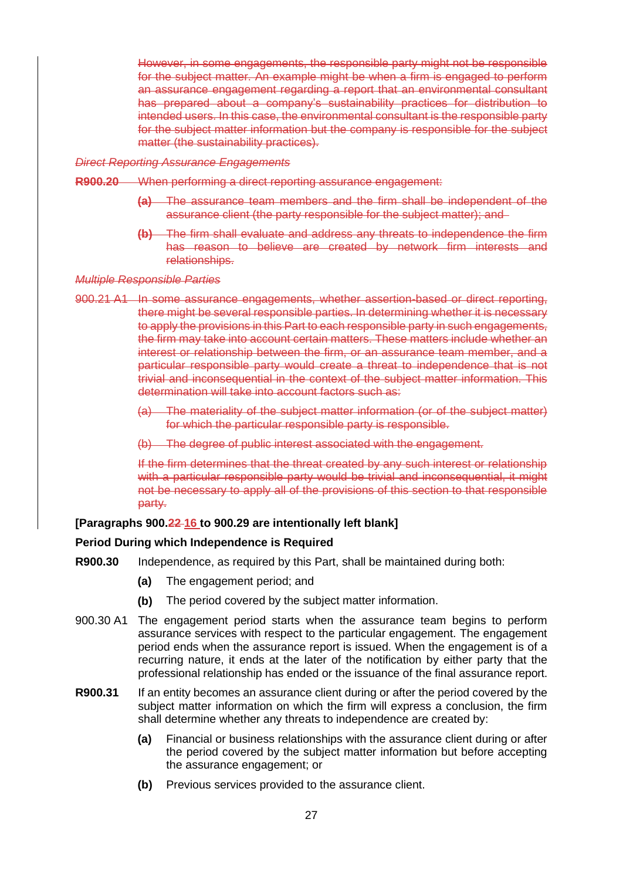However, in some engagements, the responsible party might not be responsible for the subject matter. An example might be when a firm is engaged to perform an assurance engagement regarding a report that an environmental consultant has prepared about a company's sustainability practices for distribution to intended users. In this case, the environmental consultant is the responsible party for the subject matter information but the company is responsible for the subject matter (the sustainability practices).

#### *Direct Reporting Assurance Engagements*

- **R900.20** When performing a direct reporting assurance engagement:
	- **(a)** The assurance team members and the firm shall be independent of the assurance client (the party responsible for the subject matter); and
	- **(b)** The firm shall evaluate and address any threats to independence the firm has reason to believe are created by network firm interests and relationships.

#### *Multiple Responsible Parties*

- 900.21 A1 In some assurance engagements, whether assertion-based or direct reporting, there might be several responsible parties. In determining whether it is necessary to apply the provisions in this Part to each responsible party in such engagements, the firm may take into account certain matters. These matters include whether an interest or relationship between the firm, or an assurance team member, and a particular responsible party would create a threat to independence that is not trivial and inconsequential in the context of the subject matter information. This determination will take into account factors such as:
	- (a) The materiality of the subject matter information (or of the subject matter) for which the particular responsible party is responsible.
	- (b) The degree of public interest associated with the engagement.

If the firm determines that the threat created by any such interest or relationship with a particular responsible party would be trivial and inconsequential, it might not be necessary to apply all of the provisions of this section to that responsible party.

#### **[Paragraphs 900.22 16 to 900.29 are intentionally left blank]**

#### **Period During which Independence is Required**

- **R900.30** Independence, as required by this Part, shall be maintained during both:
	- **(a)** The engagement period; and
	- **(b)** The period covered by the subject matter information.
- 900.30 A1 The engagement period starts when the assurance team begins to perform assurance services with respect to the particular engagement. The engagement period ends when the assurance report is issued. When the engagement is of a recurring nature, it ends at the later of the notification by either party that the professional relationship has ended or the issuance of the final assurance report.
- **R900.31** If an entity becomes an assurance client during or after the period covered by the subject matter information on which the firm will express a conclusion, the firm shall determine whether any threats to independence are created by:
	- **(a)** Financial or business relationships with the assurance client during or after the period covered by the subject matter information but before accepting the assurance engagement; or
	- **(b)** Previous services provided to the assurance client.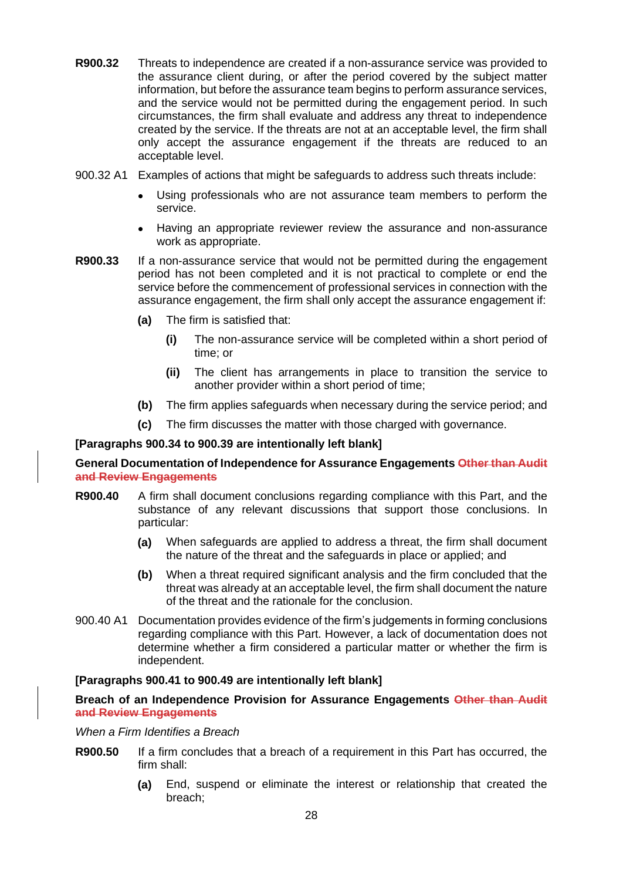- **R900.32** Threats to independence are created if a non-assurance service was provided to the assurance client during, or after the period covered by the subject matter information, but before the assurance team begins to perform assurance services, and the service would not be permitted during the engagement period. In such circumstances, the firm shall evaluate and address any threat to independence created by the service. If the threats are not at an acceptable level, the firm shall only accept the assurance engagement if the threats are reduced to an acceptable level.
- 900.32 A1 Examples of actions that might be safeguards to address such threats include:
	- Using professionals who are not assurance team members to perform the service.
	- Having an appropriate reviewer review the assurance and non-assurance work as appropriate.
- **R900.33** If a non-assurance service that would not be permitted during the engagement period has not been completed and it is not practical to complete or end the service before the commencement of professional services in connection with the assurance engagement, the firm shall only accept the assurance engagement if:
	- **(a)** The firm is satisfied that:
		- **(i)** The non-assurance service will be completed within a short period of time; or
		- **(ii)** The client has arrangements in place to transition the service to another provider within a short period of time;
	- **(b)** The firm applies safeguards when necessary during the service period; and
	- **(c)** The firm discusses the matter with those charged with governance.

#### **[Paragraphs 900.34 to 900.39 are intentionally left blank]**

**General Documentation of Independence for Assurance Engagements Other than Audit and Review Engagements**

- **R900.40** A firm shall document conclusions regarding compliance with this Part, and the substance of any relevant discussions that support those conclusions. In particular:
	- **(a)** When safeguards are applied to address a threat, the firm shall document the nature of the threat and the safeguards in place or applied; and
	- **(b)** When a threat required significant analysis and the firm concluded that the threat was already at an acceptable level, the firm shall document the nature of the threat and the rationale for the conclusion.
- 900.40 A1 Documentation provides evidence of the firm's judgements in forming conclusions regarding compliance with this Part. However, a lack of documentation does not determine whether a firm considered a particular matter or whether the firm is independent.

#### **[Paragraphs 900.41 to 900.49 are intentionally left blank]**

#### **Breach of an Independence Provision for Assurance Engagements Other than Audit and Review Engagements**

*When a Firm Identifies a Breach*

- **R900.50** If a firm concludes that a breach of a requirement in this Part has occurred, the firm shall:
	- **(a)** End, suspend or eliminate the interest or relationship that created the breach;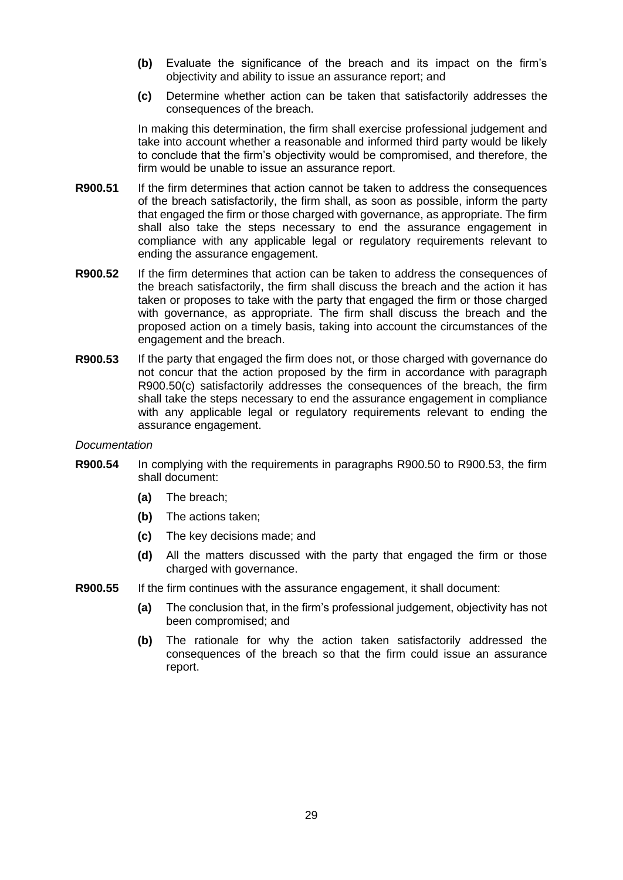- **(b)** Evaluate the significance of the breach and its impact on the firm's objectivity and ability to issue an assurance report; and
- **(c)** Determine whether action can be taken that satisfactorily addresses the consequences of the breach.

In making this determination, the firm shall exercise professional judgement and take into account whether a reasonable and informed third party would be likely to conclude that the firm's objectivity would be compromised, and therefore, the firm would be unable to issue an assurance report.

- **R900.51** If the firm determines that action cannot be taken to address the consequences of the breach satisfactorily, the firm shall, as soon as possible, inform the party that engaged the firm or those charged with governance, as appropriate. The firm shall also take the steps necessary to end the assurance engagement in compliance with any applicable legal or regulatory requirements relevant to ending the assurance engagement.
- **R900.52** If the firm determines that action can be taken to address the consequences of the breach satisfactorily, the firm shall discuss the breach and the action it has taken or proposes to take with the party that engaged the firm or those charged with governance, as appropriate. The firm shall discuss the breach and the proposed action on a timely basis, taking into account the circumstances of the engagement and the breach.
- **R900.53** If the party that engaged the firm does not, or those charged with governance do not concur that the action proposed by the firm in accordance with paragraph R900.50(c) satisfactorily addresses the consequences of the breach, the firm shall take the steps necessary to end the assurance engagement in compliance with any applicable legal or regulatory requirements relevant to ending the assurance engagement.

#### *Documentation*

- **R900.54** In complying with the requirements in paragraphs R900.50 to R900.53, the firm shall document:
	- **(a)** The breach;
	- **(b)** The actions taken;
	- **(c)** The key decisions made; and
	- **(d)** All the matters discussed with the party that engaged the firm or those charged with governance.
- **R900.55** If the firm continues with the assurance engagement, it shall document:
	- **(a)** The conclusion that, in the firm's professional judgement, objectivity has not been compromised; and
	- **(b)** The rationale for why the action taken satisfactorily addressed the consequences of the breach so that the firm could issue an assurance report.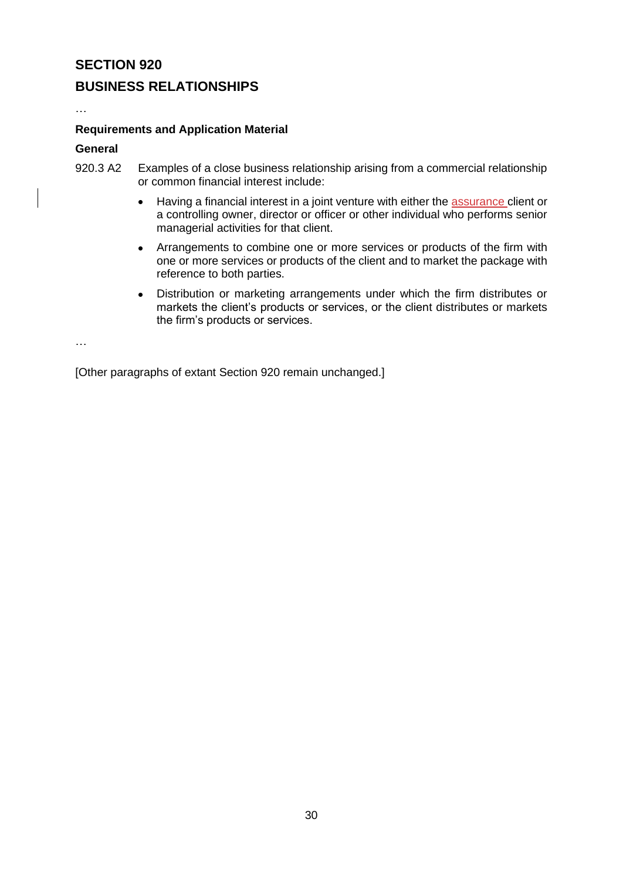## **BUSINESS RELATIONSHIPS**

…

#### **Requirements and Application Material**

#### **General**

- 920.3 A2 Examples of a close business relationship arising from a commercial relationship or common financial interest include:
	- Having a financial interest in a joint venture with either the assurance client or a controlling owner, director or officer or other individual who performs senior managerial activities for that client.
	- Arrangements to combine one or more services or products of the firm with one or more services or products of the client and to market the package with reference to both parties.
	- Distribution or marketing arrangements under which the firm distributes or markets the client's products or services, or the client distributes or markets the firm's products or services.

…

[Other paragraphs of extant Section 920 remain unchanged.]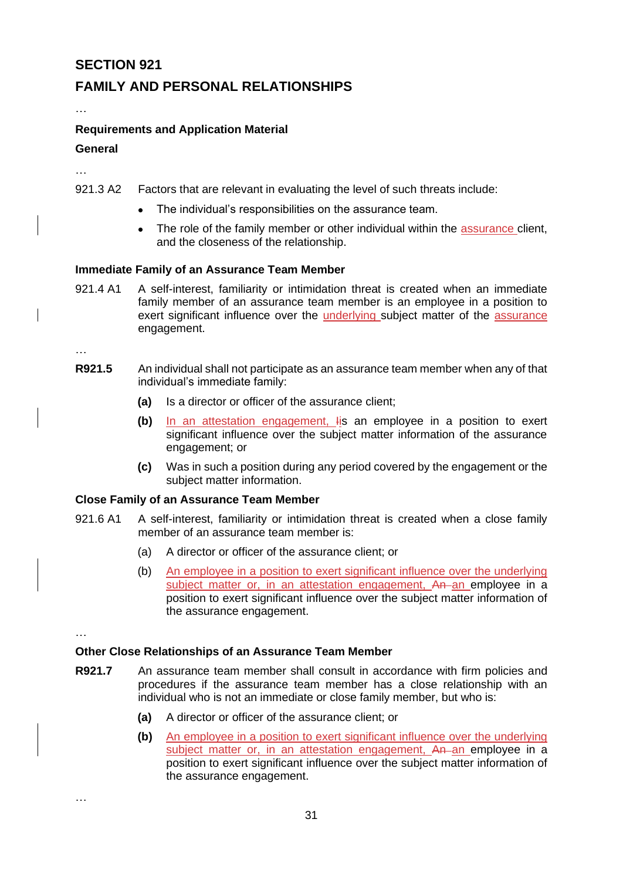## **FAMILY AND PERSONAL RELATIONSHIPS**

## **Requirements and Application Material General**

…

…

- 921.3 A2 Factors that are relevant in evaluating the level of such threats include:
	- The individual's responsibilities on the assurance team.
	- The role of the family member or other individual within the assurance client, and the closeness of the relationship.

#### **Immediate Family of an Assurance Team Member**

921.4 A1 A self-interest, familiarity or intimidation threat is created when an immediate family member of an assurance team member is an employee in a position to exert significant influence over the underlying subject matter of the assurance engagement.

…

- **R921.5** An individual shall not participate as an assurance team member when any of that individual's immediate family:
	- **(a)** Is a director or officer of the assurance client;
	- **(b)** In an attestation engagement, Iis an employee in a position to exert significant influence over the subject matter information of the assurance engagement; or
	- **(c)** Was in such a position during any period covered by the engagement or the subject matter information.

#### **Close Family of an Assurance Team Member**

- 921.6 A1 A self-interest, familiarity or intimidation threat is created when a close family member of an assurance team member is:
	- (a) A director or officer of the assurance client; or
	- (b) An employee in a position to exert significant influence over the underlying subject matter or, in an attestation engagement, An an employee in a position to exert significant influence over the subject matter information of the assurance engagement.

…

…

#### **Other Close Relationships of an Assurance Team Member**

- **R921.7** An assurance team member shall consult in accordance with firm policies and procedures if the assurance team member has a close relationship with an individual who is not an immediate or close family member, but who is:
	- **(a)** A director or officer of the assurance client; or
	- **(b)** An employee in a position to exert significant influence over the underlying subject matter or, in an attestation engagement, An an employee in a position to exert significant influence over the subject matter information of the assurance engagement.

31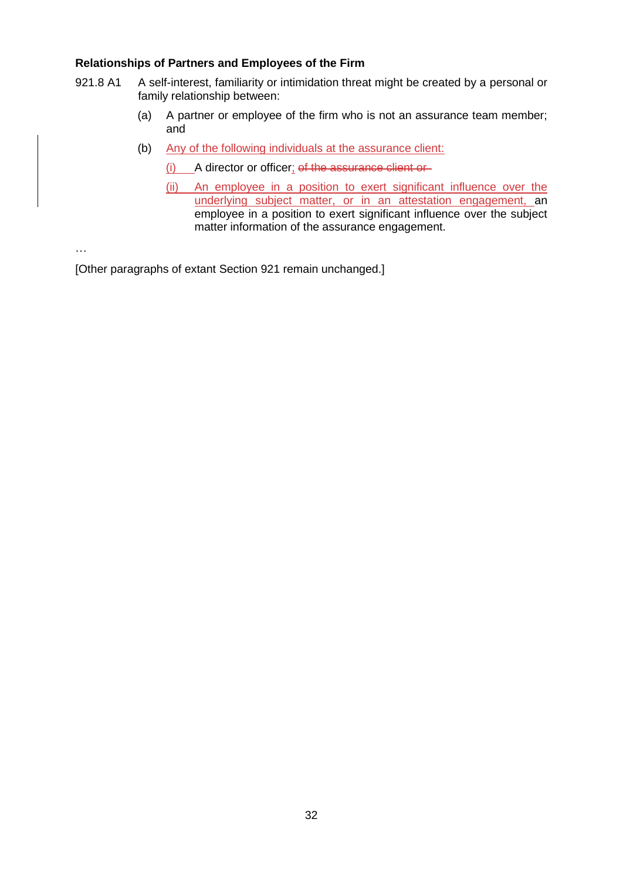#### **Relationships of Partners and Employees of the Firm**

- 921.8 A1 A self-interest, familiarity or intimidation threat might be created by a personal or family relationship between:
	- (a) A partner or employee of the firm who is not an assurance team member; and
	- (b) Any of the following individuals at the assurance client:
		- (i) A director or officer; of the assurance client or
		- (ii) An employee in a position to exert significant influence over the underlying subject matter, or in an attestation engagement, an employee in a position to exert significant influence over the subject matter information of the assurance engagement.

…

[Other paragraphs of extant Section 921 remain unchanged.]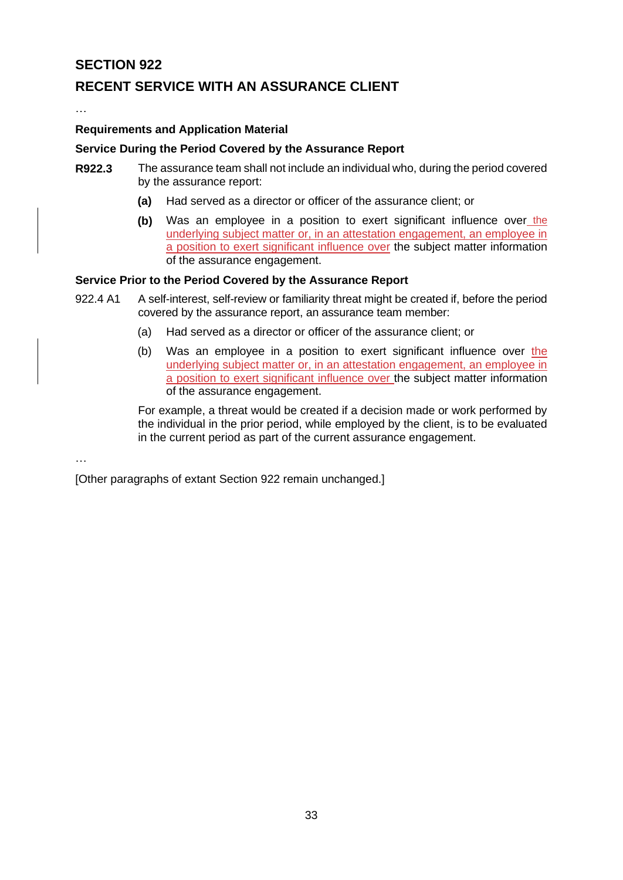## **RECENT SERVICE WITH AN ASSURANCE CLIENT**

…

#### **Requirements and Application Material**

#### **Service During the Period Covered by the Assurance Report**

- **R922.3** The assurance team shall not include an individual who, during the period covered by the assurance report:
	- **(a)** Had served as a director or officer of the assurance client; or
	- **(b)** Was an employee in a position to exert significant influence over the underlying subject matter or, in an attestation engagement, an employee in a position to exert significant influence over the subject matter information of the assurance engagement.

#### **Service Prior to the Period Covered by the Assurance Report**

- 922.4 A1 A self-interest, self-review or familiarity threat might be created if, before the period covered by the assurance report, an assurance team member:
	- (a) Had served as a director or officer of the assurance client; or
	- (b) Was an employee in a position to exert significant influence over the underlying subject matter or, in an attestation engagement, an employee in a position to exert significant influence over the subject matter information of the assurance engagement.

For example, a threat would be created if a decision made or work performed by the individual in the prior period, while employed by the client, is to be evaluated in the current period as part of the current assurance engagement.

…

[Other paragraphs of extant Section 922 remain unchanged.]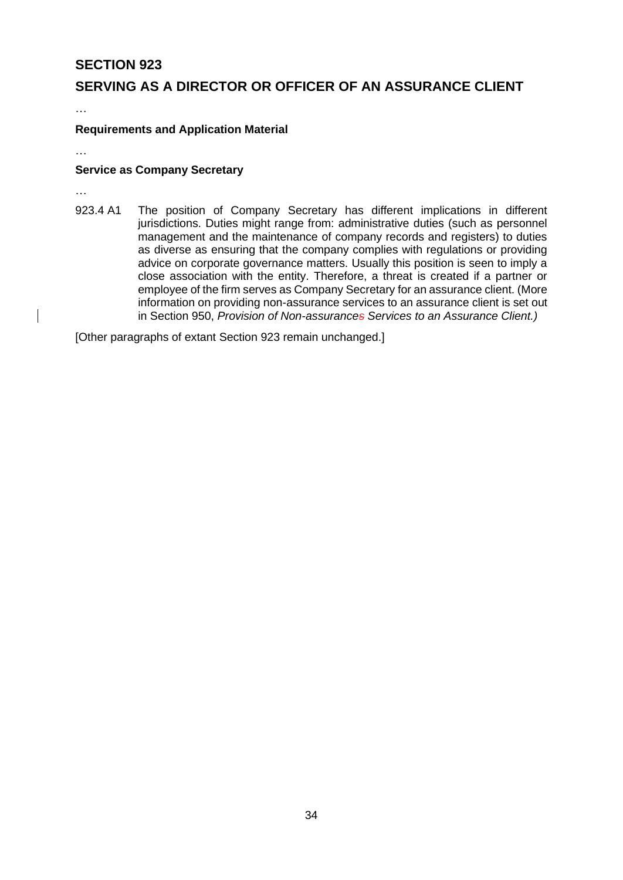## **SERVING AS A DIRECTOR OR OFFICER OF AN ASSURANCE CLIENT**

…

#### **Requirements and Application Material**

…

#### **Service as Company Secretary**

…

923.4 A1 The position of Company Secretary has different implications in different jurisdictions. Duties might range from: administrative duties (such as personnel management and the maintenance of company records and registers) to duties as diverse as ensuring that the company complies with regulations or providing advice on corporate governance matters. Usually this position is seen to imply a close association with the entity. Therefore, a threat is created if a partner or employee of the firm serves as Company Secretary for an assurance client. (More information on providing non-assurance services to an assurance client is set out in Section 950, *Provision of Non-assurances Services to an Assurance Client.)*

[Other paragraphs of extant Section 923 remain unchanged.]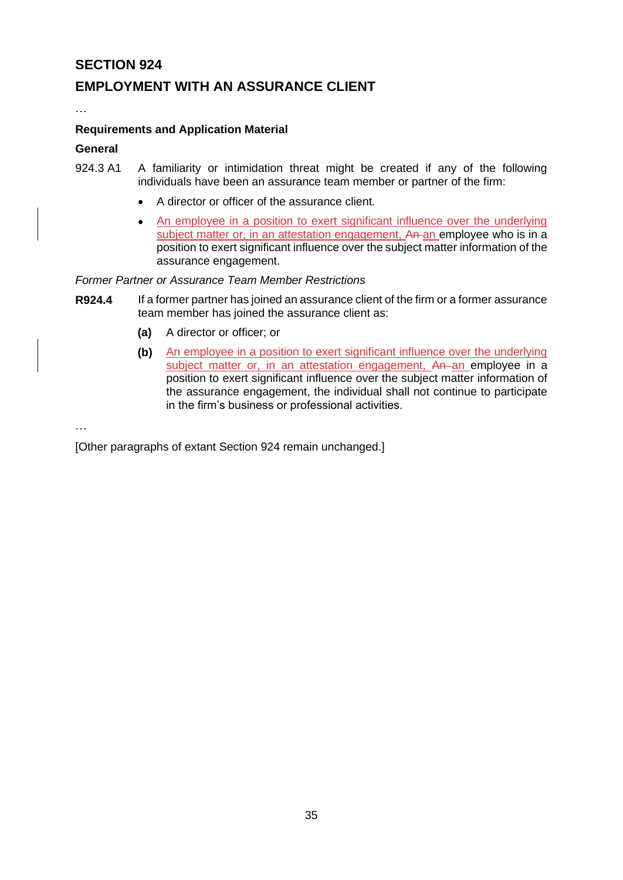## **EMPLOYMENT WITH AN ASSURANCE CLIENT**

…

#### **Requirements and Application Material**

#### **General**

- 924.3 A1 A familiarity or intimidation threat might be created if any of the following individuals have been an assurance team member or partner of the firm:
	- A director or officer of the assurance client.
	- An employee in a position to exert significant influence over the underlying subject matter or, in an attestation engagement, An an employee who is in a position to exert significant influence over the subject matter information of the assurance engagement.

#### *Former Partner or Assurance Team Member Restrictions*

- **R924.4** If a former partner has joined an assurance client of the firm or a former assurance team member has joined the assurance client as:
	- **(a)** A director or officer; or
	- **(b)** An employee in a position to exert significant influence over the underlying subject matter or, in an attestation engagement, An an employee in a position to exert significant influence over the subject matter information of the assurance engagement, the individual shall not continue to participate in the firm's business or professional activities.

…

[Other paragraphs of extant Section 924 remain unchanged.]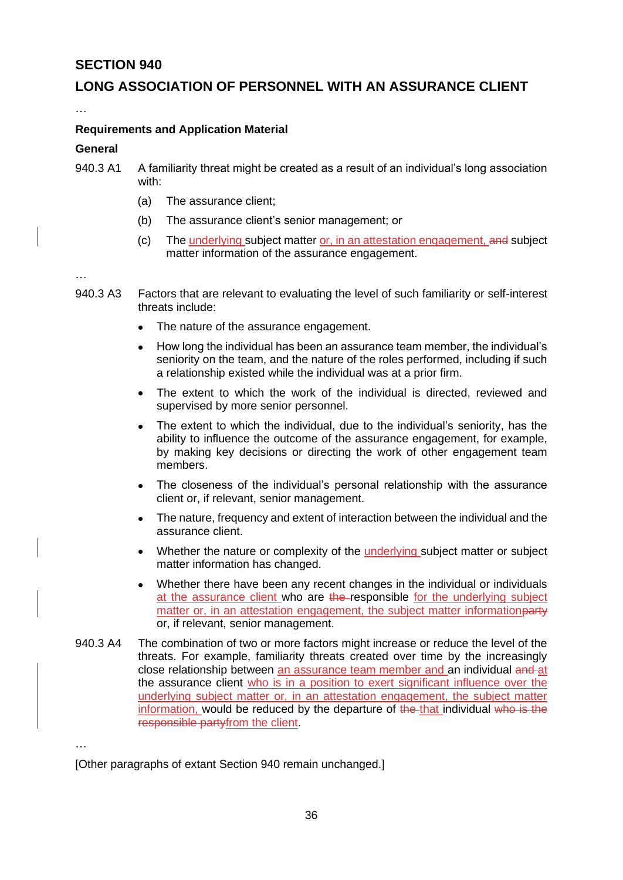## **LONG ASSOCIATION OF PERSONNEL WITH AN ASSURANCE CLIENT**

…

#### **Requirements and Application Material**

#### **General**

- 940.3 A1 A familiarity threat might be created as a result of an individual's long association with:
	- (a) The assurance client;
	- (b) The assurance client's senior management; or
	- (c) The underlying subject matter or, in an attestation engagement, and subject matter information of the assurance engagement.

…

- 940.3 A3 Factors that are relevant to evaluating the level of such familiarity or self-interest threats include:
	- The nature of the assurance engagement.
	- How long the individual has been an assurance team member, the individual's seniority on the team, and the nature of the roles performed, including if such a relationship existed while the individual was at a prior firm.
	- The extent to which the work of the individual is directed, reviewed and supervised by more senior personnel.
	- The extent to which the individual, due to the individual's seniority, has the ability to influence the outcome of the assurance engagement, for example, by making key decisions or directing the work of other engagement team members.
	- The closeness of the individual's personal relationship with the assurance client or, if relevant, senior management.
	- The nature, frequency and extent of interaction between the individual and the assurance client.
	- Whether the nature or complexity of the underlying subject matter or subject matter information has changed.
	- Whether there have been any recent changes in the individual or individuals at the assurance client who are the responsible for the underlying subject matter or, in an attestation engagement, the subject matter informationparty or, if relevant, senior management.
- 940.3 A4 The combination of two or more factors might increase or reduce the level of the threats. For example, familiarity threats created over time by the increasingly close relationship between an assurance team member and an individual and at the assurance client who is in a position to exert significant influence over the underlying subject matter or, in an attestation engagement, the subject matter information, would be reduced by the departure of the that individual who is the responsible partyfrom the client.

…

[Other paragraphs of extant Section 940 remain unchanged.]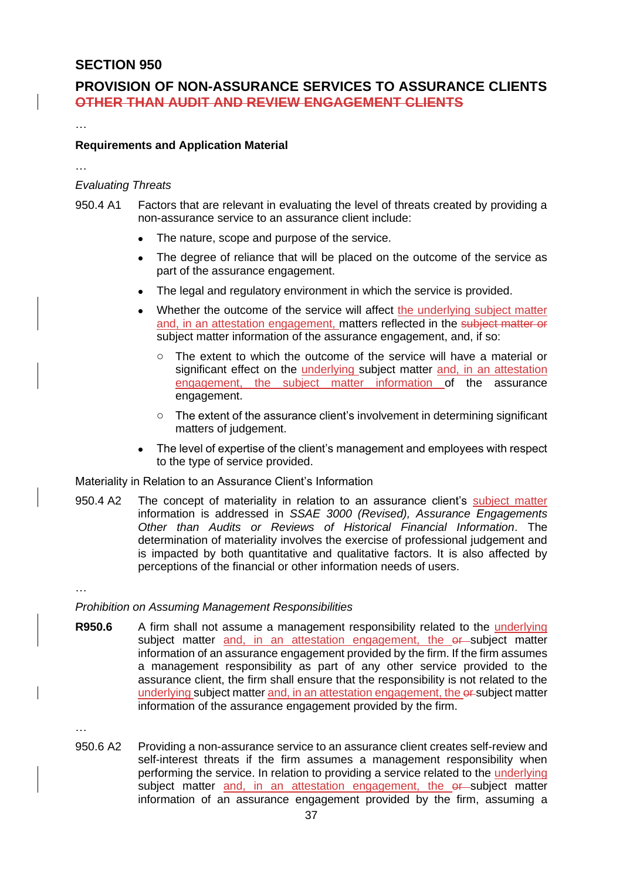## **PROVISION OF NON-ASSURANCE SERVICES TO ASSURANCE CLIENTS OTHER THAN AUDIT AND REVIEW ENGAGEMENT CLIENTS**

#### **Requirements and Application Material**

…

…

#### *Evaluating Threats*

- 950.4 A1 Factors that are relevant in evaluating the level of threats created by providing a non-assurance service to an assurance client include:
	- The nature, scope and purpose of the service.
	- The degree of reliance that will be placed on the outcome of the service as part of the assurance engagement.
	- The legal and regulatory environment in which the service is provided.
	- Whether the outcome of the service will affect the underlying subject matter and, in an attestation engagement, matters reflected in the subject matter or subject matter information of the assurance engagement, and, if so:
		- o The extent to which the outcome of the service will have a material or significant effect on the underlying subject matter and, in an attestation engagement, the subject matter information of the assurance engagement.
		- o The extent of the assurance client's involvement in determining significant matters of judgement.
	- The level of expertise of the client's management and employees with respect to the type of service provided.

Materiality in Relation to an Assurance Client's Information

950.4 A2 The concept of materiality in relation to an assurance client's subject matter information is addressed in *SSAE 3000 (Revised), Assurance Engagements Other than Audits or Reviews of Historical Financial Information*. The determination of materiality involves the exercise of professional judgement and is impacted by both quantitative and qualitative factors. It is also affected by perceptions of the financial or other information needs of users.

…

#### *Prohibition on Assuming Management Responsibilities*

**R950.6** A firm shall not assume a management responsibility related to the underlying subject matter and, in an attestation engagement, the er-subject matter information of an assurance engagement provided by the firm. If the firm assumes a management responsibility as part of any other service provided to the assurance client, the firm shall ensure that the responsibility is not related to the underlying subject matter and, in an attestation engagement, the er-subject matter information of the assurance engagement provided by the firm.

…

950.6 A2 Providing a non-assurance service to an assurance client creates self-review and self-interest threats if the firm assumes a management responsibility when performing the service. In relation to providing a service related to the underlying subject matter and, in an attestation engagement, the er-subject matter information of an assurance engagement provided by the firm, assuming a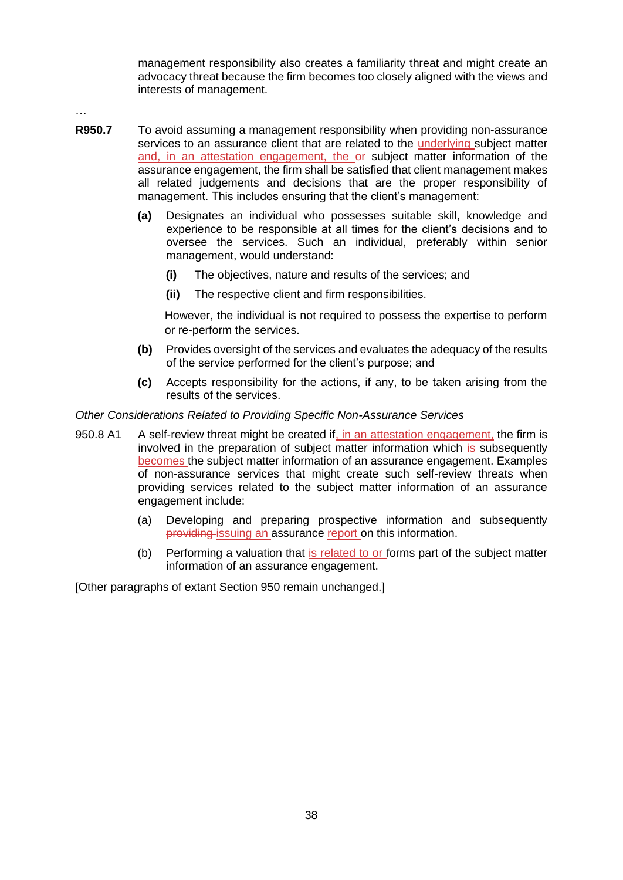management responsibility also creates a familiarity threat and might create an advocacy threat because the firm becomes too closely aligned with the views and interests of management.

…

- **R950.7** To avoid assuming a management responsibility when providing non-assurance services to an assurance client that are related to the underlying subject matter and, in an attestation engagement, the er-subject matter information of the assurance engagement, the firm shall be satisfied that client management makes all related judgements and decisions that are the proper responsibility of management. This includes ensuring that the client's management:
	- **(a)** Designates an individual who possesses suitable skill, knowledge and experience to be responsible at all times for the client's decisions and to oversee the services. Such an individual, preferably within senior management, would understand:
		- **(i)** The objectives, nature and results of the services; and
		- **(ii)** The respective client and firm responsibilities.

However, the individual is not required to possess the expertise to perform or re-perform the services.

- **(b)** Provides oversight of the services and evaluates the adequacy of the results of the service performed for the client's purpose; and
- **(c)** Accepts responsibility for the actions, if any, to be taken arising from the results of the services.

#### *Other Considerations Related to Providing Specific Non-Assurance Services*

- 950.8 A1 A self-review threat might be created if, in an attestation engagement, the firm is involved in the preparation of subject matter information which is subsequently becomes the subject matter information of an assurance engagement. Examples of non-assurance services that might create such self-review threats when providing services related to the subject matter information of an assurance engagement include:
	- (a) Developing and preparing prospective information and subsequently providing issuing an assurance report on this information.
	- (b) Performing a valuation that is related to or forms part of the subject matter information of an assurance engagement.

[Other paragraphs of extant Section 950 remain unchanged.]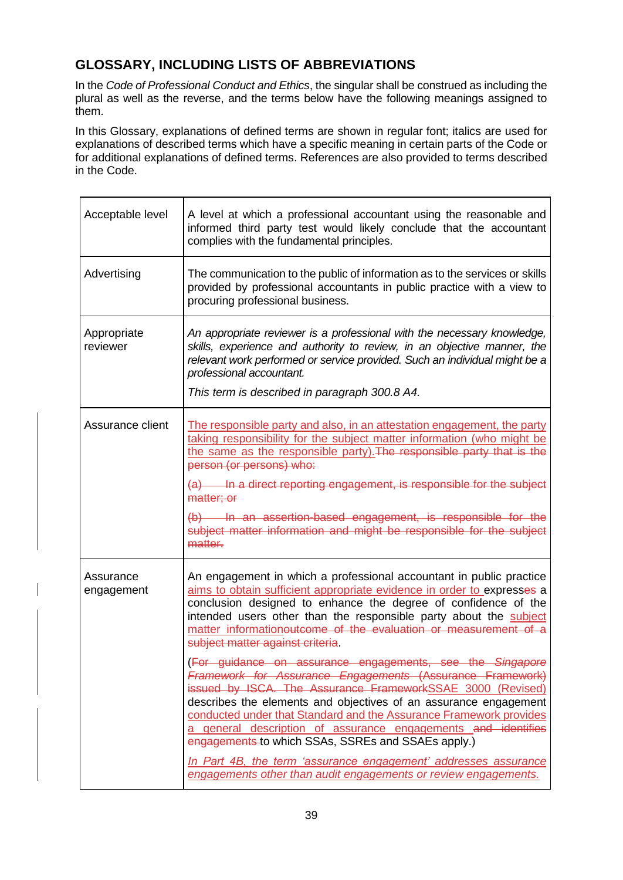## **GLOSSARY, INCLUDING LISTS OF ABBREVIATIONS**

In the *Code of Professional Conduct and Ethics*, the singular shall be construed as including the plural as well as the reverse, and the terms below have the following meanings assigned to them.

In this Glossary, explanations of defined terms are shown in regular font; italics are used for explanations of described terms which have a specific meaning in certain parts of the Code or for additional explanations of defined terms. References are also provided to terms described in the Code.

| Acceptable level        | A level at which a professional accountant using the reasonable and<br>informed third party test would likely conclude that the accountant<br>complies with the fundamental principles.                                                                                                                                                                                                                                                                                                                                                                                                                                                                                                                                                                                                                                                                                                                                 |  |
|-------------------------|-------------------------------------------------------------------------------------------------------------------------------------------------------------------------------------------------------------------------------------------------------------------------------------------------------------------------------------------------------------------------------------------------------------------------------------------------------------------------------------------------------------------------------------------------------------------------------------------------------------------------------------------------------------------------------------------------------------------------------------------------------------------------------------------------------------------------------------------------------------------------------------------------------------------------|--|
| Advertising             | The communication to the public of information as to the services or skills<br>provided by professional accountants in public practice with a view to<br>procuring professional business.                                                                                                                                                                                                                                                                                                                                                                                                                                                                                                                                                                                                                                                                                                                               |  |
| Appropriate<br>reviewer | An appropriate reviewer is a professional with the necessary knowledge,<br>skills, experience and authority to review, in an objective manner, the<br>relevant work performed or service provided. Such an individual might be a<br>professional accountant.<br>This term is described in paragraph 300.8 A4.                                                                                                                                                                                                                                                                                                                                                                                                                                                                                                                                                                                                           |  |
| Assurance client        | The responsible party and also, in an attestation engagement, the party<br>taking responsibility for the subject matter information (who might be<br>the same as the responsible party). The responsible party that is the<br>person (or persons) who:<br>(a) In a direct reporting engagement, is responsible for the subject<br>matter; or<br>(b) In an assertion-based engagement, is responsible for the<br>subject matter information and might be responsible for the subject<br>matter.                                                                                                                                                                                                                                                                                                                                                                                                                          |  |
| Assurance<br>engagement | An engagement in which a professional accountant in public practice<br>aims to obtain sufficient appropriate evidence in order to expresses a<br>conclusion designed to enhance the degree of confidence of the<br>intended users other than the responsible party about the subject<br>matter informationeutcome of the evaluation or measurement of a<br>subject matter against criteria.<br>(For guidance on assurance engagements, see the Singapore<br>Framework for Assurance Engagements (Assurance Framework)<br>issued by ISCA. The Assurance FrameworkSSAE 3000 (Revised)<br>describes the elements and objectives of an assurance engagement<br>conducted under that Standard and the Assurance Framework provides<br>a general description of assurance engagements and identifies<br>engagements to which SSAs, SSREs and SSAEs apply.)<br>In Part 4B, the term 'assurance engagement' addresses assurance |  |
|                         | engagements other than audit engagements or review engagements.                                                                                                                                                                                                                                                                                                                                                                                                                                                                                                                                                                                                                                                                                                                                                                                                                                                         |  |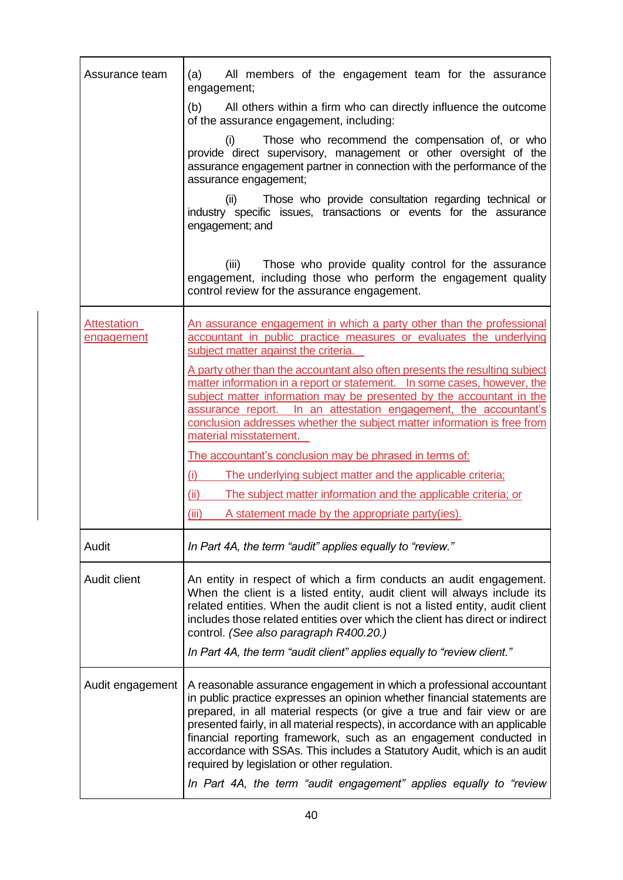| Assurance team            | (a)<br>All members of the engagement team for the assurance<br>engagement;                                                                                                                                                                                                                                                                                                                                                                                                                                    |
|---------------------------|---------------------------------------------------------------------------------------------------------------------------------------------------------------------------------------------------------------------------------------------------------------------------------------------------------------------------------------------------------------------------------------------------------------------------------------------------------------------------------------------------------------|
|                           | (b) All others within a firm who can directly influence the outcome<br>of the assurance engagement, including:                                                                                                                                                                                                                                                                                                                                                                                                |
|                           | Those who recommend the compensation of, or who<br>(i)<br>provide direct supervisory, management or other oversight of the<br>assurance engagement partner in connection with the performance of the<br>assurance engagement;                                                                                                                                                                                                                                                                                 |
|                           | Those who provide consultation regarding technical or<br>(ii)<br>industry specific issues, transactions or events for the assurance<br>engagement; and                                                                                                                                                                                                                                                                                                                                                        |
|                           | (iii)<br>Those who provide quality control for the assurance<br>engagement, including those who perform the engagement quality<br>control review for the assurance engagement.                                                                                                                                                                                                                                                                                                                                |
| Attestation<br>engagement | An assurance engagement in which a party other than the professional<br>accountant in public practice measures or evaluates the underlying<br>subject matter against the criteria.                                                                                                                                                                                                                                                                                                                            |
|                           | A party other than the accountant also often presents the resulting subject<br>matter information in a report or statement.  In some cases, however, the<br>subject matter information may be presented by the accountant in the<br>assurance report. In an attestation engagement, the accountant's<br>conclusion addresses whether the subject matter information is free from<br>material misstatement.                                                                                                    |
|                           | The accountant's conclusion may be phrased in terms of:                                                                                                                                                                                                                                                                                                                                                                                                                                                       |
|                           | (i)<br>The underlying subject matter and the applicable criteria;                                                                                                                                                                                                                                                                                                                                                                                                                                             |
|                           | (ii)<br>The subject matter information and the applicable criteria; or                                                                                                                                                                                                                                                                                                                                                                                                                                        |
|                           | (iii)<br>A statement made by the appropriate party(ies).                                                                                                                                                                                                                                                                                                                                                                                                                                                      |
| Audit                     | In Part 4A, the term "audit" applies equally to "review."                                                                                                                                                                                                                                                                                                                                                                                                                                                     |
| Audit client              | An entity in respect of which a firm conducts an audit engagement.<br>When the client is a listed entity, audit client will always include its<br>related entities. When the audit client is not a listed entity, audit client<br>includes those related entities over which the client has direct or indirect<br>control. (See also paragraph R400.20.)<br>In Part 4A, the term "audit client" applies equally to "review client."                                                                           |
| Audit engagement          | A reasonable assurance engagement in which a professional accountant<br>in public practice expresses an opinion whether financial statements are<br>prepared, in all material respects (or give a true and fair view or are<br>presented fairly, in all material respects), in accordance with an applicable<br>financial reporting framework, such as an engagement conducted in<br>accordance with SSAs. This includes a Statutory Audit, which is an audit<br>required by legislation or other regulation. |
|                           | In Part 4A, the term "audit engagement" applies equally to "review                                                                                                                                                                                                                                                                                                                                                                                                                                            |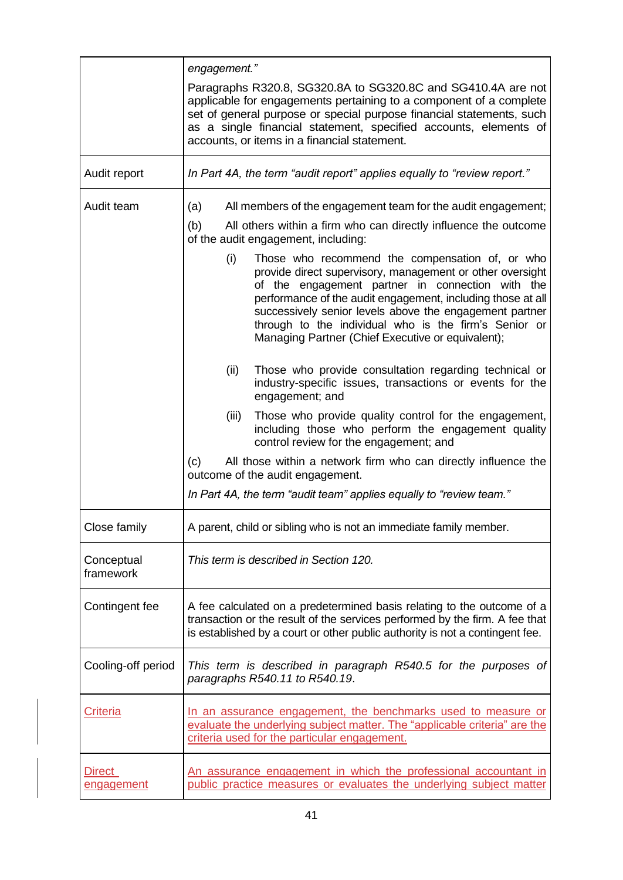|                             | engagement."                                                                                                                                                                                                                                                                                                                                                                                                    |
|-----------------------------|-----------------------------------------------------------------------------------------------------------------------------------------------------------------------------------------------------------------------------------------------------------------------------------------------------------------------------------------------------------------------------------------------------------------|
|                             | Paragraphs R320.8, SG320.8A to SG320.8C and SG410.4A are not<br>applicable for engagements pertaining to a component of a complete<br>set of general purpose or special purpose financial statements, such<br>as a single financial statement, specified accounts, elements of<br>accounts, or items in a financial statement.                                                                                  |
| Audit report                | In Part 4A, the term "audit report" applies equally to "review report."                                                                                                                                                                                                                                                                                                                                         |
| Audit team                  | All members of the engagement team for the audit engagement;<br>(a)                                                                                                                                                                                                                                                                                                                                             |
|                             | (b)<br>All others within a firm who can directly influence the outcome<br>of the audit engagement, including:                                                                                                                                                                                                                                                                                                   |
|                             | Those who recommend the compensation of, or who<br>(i)<br>provide direct supervisory, management or other oversight<br>of the engagement partner in connection with the<br>performance of the audit engagement, including those at all<br>successively senior levels above the engagement partner<br>through to the individual who is the firm's Senior or<br>Managing Partner (Chief Executive or equivalent); |
|                             | (ii)<br>Those who provide consultation regarding technical or<br>industry-specific issues, transactions or events for the<br>engagement; and                                                                                                                                                                                                                                                                    |
|                             | Those who provide quality control for the engagement,<br>(iii)<br>including those who perform the engagement quality<br>control review for the engagement; and                                                                                                                                                                                                                                                  |
|                             | (c)<br>All those within a network firm who can directly influence the<br>outcome of the audit engagement.                                                                                                                                                                                                                                                                                                       |
|                             | In Part 4A, the term "audit team" applies equally to "review team."                                                                                                                                                                                                                                                                                                                                             |
| Close family                | A parent, child or sibling who is not an immediate family member.                                                                                                                                                                                                                                                                                                                                               |
| Conceptual<br>framework     | This term is described in Section 120.                                                                                                                                                                                                                                                                                                                                                                          |
| Contingent fee              | A fee calculated on a predetermined basis relating to the outcome of a<br>transaction or the result of the services performed by the firm. A fee that<br>is established by a court or other public authority is not a contingent fee.                                                                                                                                                                           |
| Cooling-off period          | This term is described in paragraph R540.5 for the purposes of<br>paragraphs R540.11 to R540.19.                                                                                                                                                                                                                                                                                                                |
| <b>Criteria</b>             | In an assurance engagement, the benchmarks used to measure or<br>evaluate the underlying subject matter. The "applicable criteria" are the<br>criteria used for the particular engagement.                                                                                                                                                                                                                      |
| Direct<br><u>engagement</u> | <u>An assurance engagement in which the professional accountant in</u><br>public practice measures or evaluates the underlying subject matter                                                                                                                                                                                                                                                                   |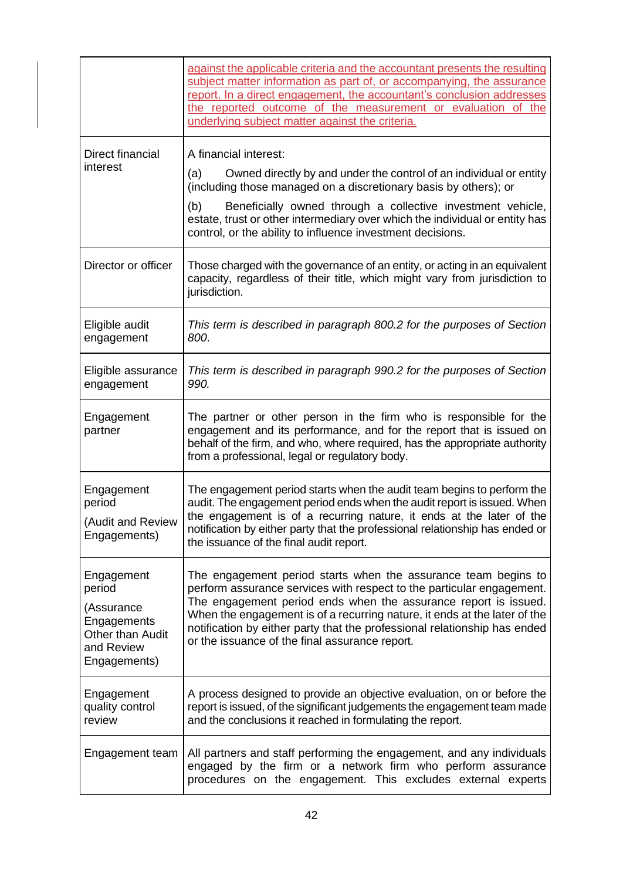|                                                                                                     | against the applicable criteria and the accountant presents the resulting<br>subject matter information as part of, or accompanying, the assurance<br>report. In a direct engagement, the accountant's conclusion addresses<br>the reported outcome of the measurement or evaluation of the<br>underlying subject matter against the criteria.                                                                         |
|-----------------------------------------------------------------------------------------------------|------------------------------------------------------------------------------------------------------------------------------------------------------------------------------------------------------------------------------------------------------------------------------------------------------------------------------------------------------------------------------------------------------------------------|
| Direct financial<br>interest                                                                        | A financial interest:<br>Owned directly by and under the control of an individual or entity<br>(a)<br>(including those managed on a discretionary basis by others); or<br>Beneficially owned through a collective investment vehicle,<br>(b)<br>estate, trust or other intermediary over which the individual or entity has<br>control, or the ability to influence investment decisions.                              |
| Director or officer                                                                                 | Those charged with the governance of an entity, or acting in an equivalent<br>capacity, regardless of their title, which might vary from jurisdiction to<br>jurisdiction.                                                                                                                                                                                                                                              |
| Eligible audit<br>engagement                                                                        | This term is described in paragraph 800.2 for the purposes of Section<br>800.                                                                                                                                                                                                                                                                                                                                          |
| Eligible assurance<br>engagement                                                                    | This term is described in paragraph 990.2 for the purposes of Section<br>990.                                                                                                                                                                                                                                                                                                                                          |
| Engagement<br>partner                                                                               | The partner or other person in the firm who is responsible for the<br>engagement and its performance, and for the report that is issued on<br>behalf of the firm, and who, where required, has the appropriate authority<br>from a professional, legal or regulatory body.                                                                                                                                             |
| Engagement<br>period<br>(Audit and Review<br>Engagements)                                           | The engagement period starts when the audit team begins to perform the<br>audit. The engagement period ends when the audit report is issued. When<br>the engagement is of a recurring nature, it ends at the later of the<br>notification by either party that the professional relationship has ended or<br>the issuance of the final audit report.                                                                   |
| Engagement<br>period<br>(Assurance<br>Engagements<br>Other than Audit<br>and Review<br>Engagements) | The engagement period starts when the assurance team begins to<br>perform assurance services with respect to the particular engagement.<br>The engagement period ends when the assurance report is issued.<br>When the engagement is of a recurring nature, it ends at the later of the<br>notification by either party that the professional relationship has ended<br>or the issuance of the final assurance report. |
| Engagement<br>quality control<br>review                                                             | A process designed to provide an objective evaluation, on or before the<br>report is issued, of the significant judgements the engagement team made<br>and the conclusions it reached in formulating the report.                                                                                                                                                                                                       |
| Engagement team                                                                                     | All partners and staff performing the engagement, and any individuals<br>engaged by the firm or a network firm who perform assurance<br>procedures on the engagement. This excludes external experts                                                                                                                                                                                                                   |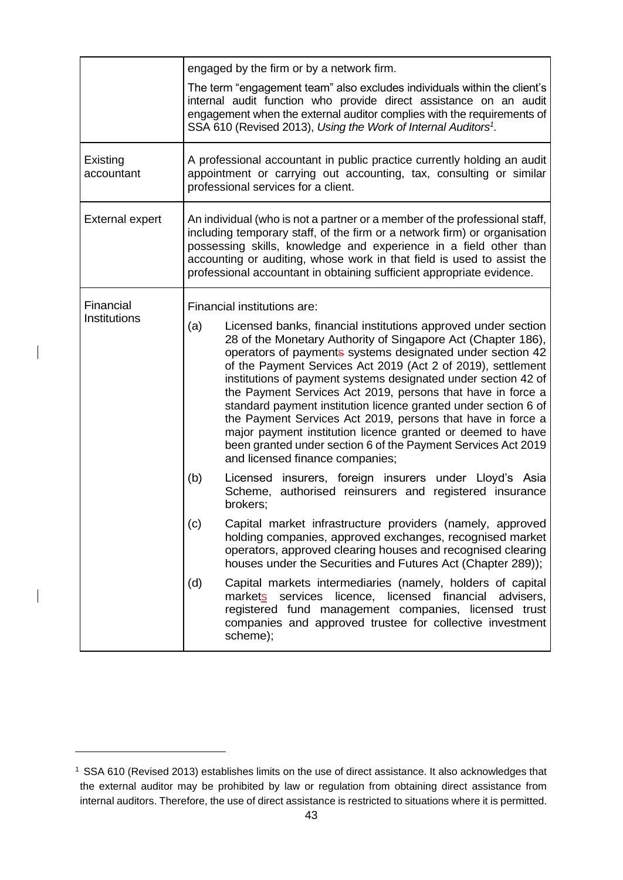|                        | engaged by the firm or by a network firm.                                                                                                                                                                                                                                                                                                                                                                                                                                                                                                                                                                                                                                                               |
|------------------------|---------------------------------------------------------------------------------------------------------------------------------------------------------------------------------------------------------------------------------------------------------------------------------------------------------------------------------------------------------------------------------------------------------------------------------------------------------------------------------------------------------------------------------------------------------------------------------------------------------------------------------------------------------------------------------------------------------|
|                        | The term "engagement team" also excludes individuals within the client's<br>internal audit function who provide direct assistance on an audit<br>engagement when the external auditor complies with the requirements of<br>SSA 610 (Revised 2013), Using the Work of Internal Auditors <sup>1</sup> .                                                                                                                                                                                                                                                                                                                                                                                                   |
| Existing<br>accountant | A professional accountant in public practice currently holding an audit<br>appointment or carrying out accounting, tax, consulting or similar<br>professional services for a client.                                                                                                                                                                                                                                                                                                                                                                                                                                                                                                                    |
| <b>External expert</b> | An individual (who is not a partner or a member of the professional staff,<br>including temporary staff, of the firm or a network firm) or organisation<br>possessing skills, knowledge and experience in a field other than<br>accounting or auditing, whose work in that field is used to assist the<br>professional accountant in obtaining sufficient appropriate evidence.                                                                                                                                                                                                                                                                                                                         |
| Financial              | Financial institutions are:                                                                                                                                                                                                                                                                                                                                                                                                                                                                                                                                                                                                                                                                             |
| Institutions           | Licensed banks, financial institutions approved under section<br>(a)<br>28 of the Monetary Authority of Singapore Act (Chapter 186),<br>operators of payments systems designated under section 42<br>of the Payment Services Act 2019 (Act 2 of 2019), settlement<br>institutions of payment systems designated under section 42 of<br>the Payment Services Act 2019, persons that have in force a<br>standard payment institution licence granted under section 6 of<br>the Payment Services Act 2019, persons that have in force a<br>major payment institution licence granted or deemed to have<br>been granted under section 6 of the Payment Services Act 2019<br>and licensed finance companies; |
|                        | (b)<br>Licensed insurers, foreign insurers under Lloyd's Asia<br>Scheme, authorised reinsurers and registered insurance<br>brokers;                                                                                                                                                                                                                                                                                                                                                                                                                                                                                                                                                                     |
|                        | Capital market infrastructure providers (namely, approved<br>(c)<br>holding companies, approved exchanges, recognised market<br>operators, approved clearing houses and recognised clearing<br>houses under the Securities and Futures Act (Chapter 289));                                                                                                                                                                                                                                                                                                                                                                                                                                              |
|                        | (d)<br>Capital markets intermediaries (namely, holders of capital<br>licence, licensed financial<br>markets services<br>advisers,<br>registered fund management companies, licensed trust<br>companies and approved trustee for collective investment<br>scheme);                                                                                                                                                                                                                                                                                                                                                                                                                                       |

 $\overline{\phantom{a}}$ 

<sup>1</sup> SSA 610 (Revised 2013) establishes limits on the use of direct assistance. It also acknowledges that the external auditor may be prohibited by law or regulation from obtaining direct assistance from internal auditors. Therefore, the use of direct assistance is restricted to situations where it is permitted.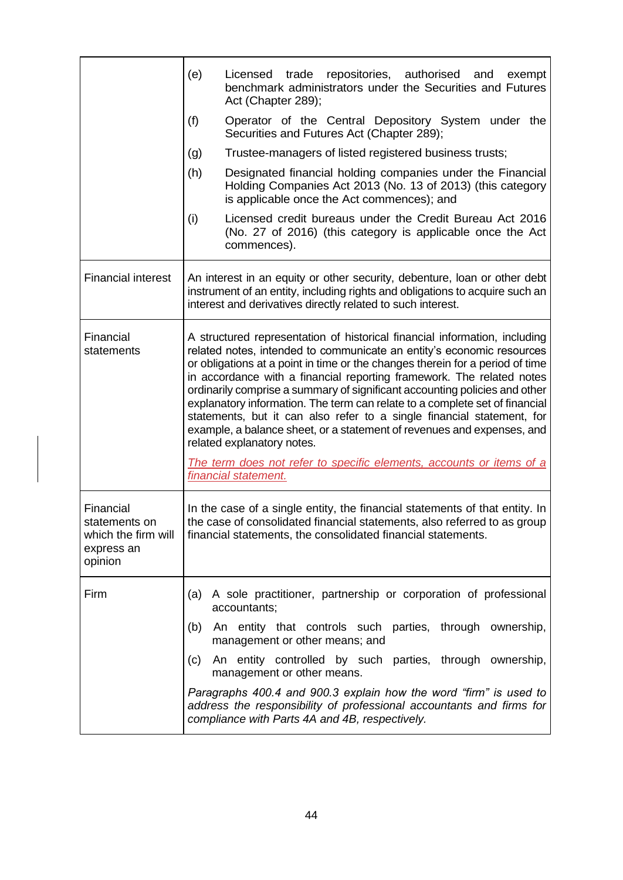|                                                                            | (e)                                                                                                                                                                                                                                                                                                                                                                                                                                                                                                                                                                                                                                                                                                                                                          | Licensed trade repositories, authorised<br>and<br>exempt<br>benchmark administrators under the Securities and Futures<br>Act (Chapter 289);                                                                             |
|----------------------------------------------------------------------------|--------------------------------------------------------------------------------------------------------------------------------------------------------------------------------------------------------------------------------------------------------------------------------------------------------------------------------------------------------------------------------------------------------------------------------------------------------------------------------------------------------------------------------------------------------------------------------------------------------------------------------------------------------------------------------------------------------------------------------------------------------------|-------------------------------------------------------------------------------------------------------------------------------------------------------------------------------------------------------------------------|
|                                                                            | (f)                                                                                                                                                                                                                                                                                                                                                                                                                                                                                                                                                                                                                                                                                                                                                          | Operator of the Central Depository System under the<br>Securities and Futures Act (Chapter 289);                                                                                                                        |
|                                                                            | (g)                                                                                                                                                                                                                                                                                                                                                                                                                                                                                                                                                                                                                                                                                                                                                          | Trustee-managers of listed registered business trusts;                                                                                                                                                                  |
|                                                                            | (h)                                                                                                                                                                                                                                                                                                                                                                                                                                                                                                                                                                                                                                                                                                                                                          | Designated financial holding companies under the Financial<br>Holding Companies Act 2013 (No. 13 of 2013) (this category<br>is applicable once the Act commences); and                                                  |
|                                                                            | (i)                                                                                                                                                                                                                                                                                                                                                                                                                                                                                                                                                                                                                                                                                                                                                          | Licensed credit bureaus under the Credit Bureau Act 2016<br>(No. 27 of 2016) (this category is applicable once the Act<br>commences).                                                                                   |
| <b>Financial interest</b>                                                  | An interest in an equity or other security, debenture, loan or other debt<br>instrument of an entity, including rights and obligations to acquire such an<br>interest and derivatives directly related to such interest.                                                                                                                                                                                                                                                                                                                                                                                                                                                                                                                                     |                                                                                                                                                                                                                         |
| Financial<br>statements                                                    | A structured representation of historical financial information, including<br>related notes, intended to communicate an entity's economic resources<br>or obligations at a point in time or the changes therein for a period of time<br>in accordance with a financial reporting framework. The related notes<br>ordinarily comprise a summary of significant accounting policies and other<br>explanatory information. The term can relate to a complete set of financial<br>statements, but it can also refer to a single financial statement, for<br>example, a balance sheet, or a statement of revenues and expenses, and<br>related explanatory notes.<br>The term does not refer to specific elements, accounts or items of a<br>financial statement. |                                                                                                                                                                                                                         |
| Financial<br>statements on<br>which the firm will<br>express an<br>opinion |                                                                                                                                                                                                                                                                                                                                                                                                                                                                                                                                                                                                                                                                                                                                                              | In the case of a single entity, the financial statements of that entity. In<br>the case of consolidated financial statements, also referred to as group<br>financial statements, the consolidated financial statements. |
| Firm                                                                       |                                                                                                                                                                                                                                                                                                                                                                                                                                                                                                                                                                                                                                                                                                                                                              | (a) A sole practitioner, partnership or corporation of professional<br>accountants;                                                                                                                                     |
|                                                                            |                                                                                                                                                                                                                                                                                                                                                                                                                                                                                                                                                                                                                                                                                                                                                              | (b) An entity that controls such parties, through ownership,<br>management or other means; and                                                                                                                          |
|                                                                            | (c)                                                                                                                                                                                                                                                                                                                                                                                                                                                                                                                                                                                                                                                                                                                                                          | An entity controlled by such parties, through ownership,<br>management or other means.                                                                                                                                  |
|                                                                            |                                                                                                                                                                                                                                                                                                                                                                                                                                                                                                                                                                                                                                                                                                                                                              | Paragraphs 400.4 and 900.3 explain how the word "firm" is used to<br>address the responsibility of professional accountants and firms for<br>compliance with Parts 4A and 4B, respectively.                             |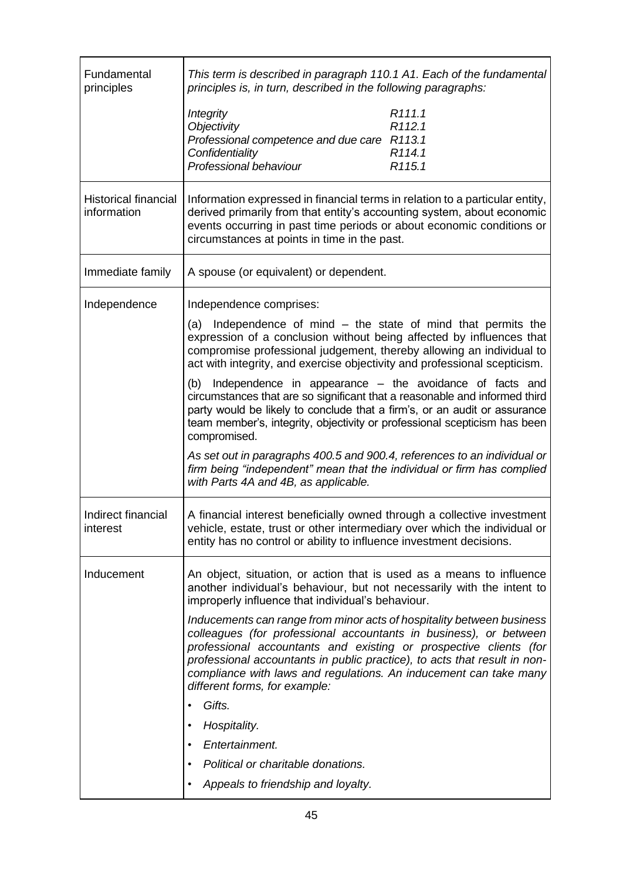| Fundamental<br>principles                  | This term is described in paragraph 110.1 A1. Each of the fundamental<br>principles is, in turn, described in the following paragraphs:                                                                                                                                                                                                                                                            |
|--------------------------------------------|----------------------------------------------------------------------------------------------------------------------------------------------------------------------------------------------------------------------------------------------------------------------------------------------------------------------------------------------------------------------------------------------------|
|                                            | R <sub>111.1</sub><br><b>Integrity</b><br><b>Objectivity</b><br>R <sub>112.1</sub><br>Professional competence and due care R113.1<br>Confidentiality<br>R <sub>114.1</sub><br>Professional behaviour<br>R <sub>115.1</sub>                                                                                                                                                                         |
| <b>Historical financial</b><br>information | Information expressed in financial terms in relation to a particular entity,<br>derived primarily from that entity's accounting system, about economic<br>events occurring in past time periods or about economic conditions or<br>circumstances at points in time in the past.                                                                                                                    |
| Immediate family                           | A spouse (or equivalent) or dependent.                                                                                                                                                                                                                                                                                                                                                             |
| Independence                               | Independence comprises:                                                                                                                                                                                                                                                                                                                                                                            |
|                                            | Independence of mind $-$ the state of mind that permits the<br>(a)<br>expression of a conclusion without being affected by influences that<br>compromise professional judgement, thereby allowing an individual to<br>act with integrity, and exercise objectivity and professional scepticism.                                                                                                    |
|                                            | (b) Independence in appearance – the avoidance of facts and<br>circumstances that are so significant that a reasonable and informed third<br>party would be likely to conclude that a firm's, or an audit or assurance<br>team member's, integrity, objectivity or professional scepticism has been<br>compromised.                                                                                |
|                                            | As set out in paragraphs 400.5 and 900.4, references to an individual or<br>firm being "independent" mean that the individual or firm has complied<br>with Parts 4A and 4B, as applicable.                                                                                                                                                                                                         |
| Indirect financial<br>ınterest             | A financial interest beneficially owned through a collective investment<br>vehicle, estate, trust or other intermediary over which the individual or<br>entity has no control or ability to influence investment decisions.                                                                                                                                                                        |
| Inducement                                 | An object, situation, or action that is used as a means to influence<br>another individual's behaviour, but not necessarily with the intent to<br>improperly influence that individual's behaviour.                                                                                                                                                                                                |
|                                            | Inducements can range from minor acts of hospitality between business<br>colleagues (for professional accountants in business), or between<br>professional accountants and existing or prospective clients (for<br>professional accountants in public practice), to acts that result in non-<br>compliance with laws and regulations. An inducement can take many<br>different forms, for example: |
|                                            | Gifts.<br>٠                                                                                                                                                                                                                                                                                                                                                                                        |
|                                            | Hospitality.<br>$\bullet$                                                                                                                                                                                                                                                                                                                                                                          |
|                                            | Entertainment.<br>$\bullet$                                                                                                                                                                                                                                                                                                                                                                        |
|                                            | Political or charitable donations.<br>$\bullet$                                                                                                                                                                                                                                                                                                                                                    |
|                                            | Appeals to friendship and loyalty.<br>$\bullet$                                                                                                                                                                                                                                                                                                                                                    |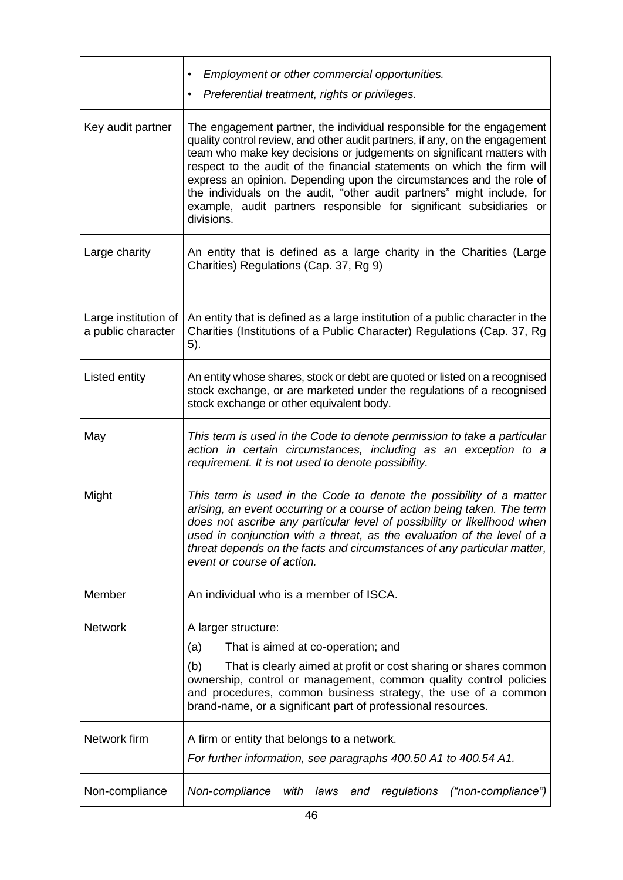|                                            | Employment or other commercial opportunities.<br>$\bullet$<br>Preferential treatment, rights or privileges.                                                                                                                                                                                                                                                                                                                                                                                                                                      |
|--------------------------------------------|--------------------------------------------------------------------------------------------------------------------------------------------------------------------------------------------------------------------------------------------------------------------------------------------------------------------------------------------------------------------------------------------------------------------------------------------------------------------------------------------------------------------------------------------------|
| Key audit partner                          | The engagement partner, the individual responsible for the engagement<br>quality control review, and other audit partners, if any, on the engagement<br>team who make key decisions or judgements on significant matters with<br>respect to the audit of the financial statements on which the firm will<br>express an opinion. Depending upon the circumstances and the role of<br>the individuals on the audit, "other audit partners" might include, for<br>example, audit partners responsible for significant subsidiaries or<br>divisions. |
| Large charity                              | An entity that is defined as a large charity in the Charities (Large<br>Charities) Regulations (Cap. 37, Rg 9)                                                                                                                                                                                                                                                                                                                                                                                                                                   |
| Large institution of<br>a public character | An entity that is defined as a large institution of a public character in the<br>Charities (Institutions of a Public Character) Regulations (Cap. 37, Rg<br>5).                                                                                                                                                                                                                                                                                                                                                                                  |
| Listed entity                              | An entity whose shares, stock or debt are quoted or listed on a recognised<br>stock exchange, or are marketed under the regulations of a recognised<br>stock exchange or other equivalent body.                                                                                                                                                                                                                                                                                                                                                  |
| May                                        | This term is used in the Code to denote permission to take a particular<br>action in certain circumstances, including as an exception to a<br>requirement. It is not used to denote possibility.                                                                                                                                                                                                                                                                                                                                                 |
| Might                                      | This term is used in the Code to denote the possibility of a matter<br>arising, an event occurring or a course of action being taken. The term<br>does not ascribe any particular level of possibility or likelihood when<br>used in conjunction with a threat, as the evaluation of the level of a<br>threat depends on the facts and circumstances of any particular matter,<br>event or course of action.                                                                                                                                     |
| Member                                     | An individual who is a member of ISCA.                                                                                                                                                                                                                                                                                                                                                                                                                                                                                                           |
| <b>Network</b>                             | A larger structure:<br>That is aimed at co-operation; and<br>(a)<br>(b)<br>That is clearly aimed at profit or cost sharing or shares common<br>ownership, control or management, common quality control policies<br>and procedures, common business strategy, the use of a common<br>brand-name, or a significant part of professional resources.                                                                                                                                                                                                |
| Network firm                               | A firm or entity that belongs to a network.<br>For further information, see paragraphs 400.50 A1 to 400.54 A1.                                                                                                                                                                                                                                                                                                                                                                                                                                   |
| Non-compliance                             | Non-compliance<br>("non-compliance")<br>with<br>laws<br>regulations<br>and                                                                                                                                                                                                                                                                                                                                                                                                                                                                       |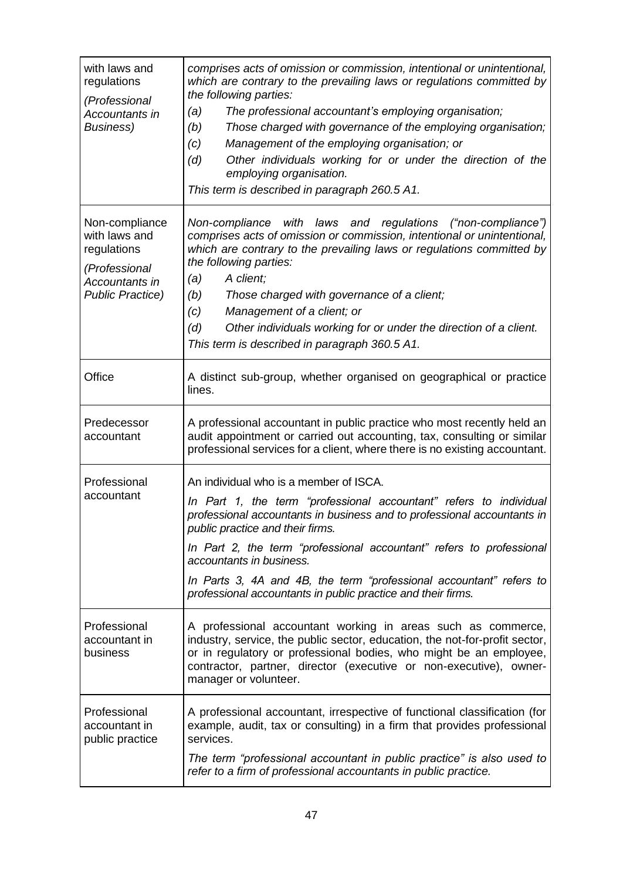| with laws and<br>regulations<br>(Professional<br>Accountants in<br>Business)                                 | comprises acts of omission or commission, intentional or unintentional,<br>which are contrary to the prevailing laws or regulations committed by<br>the following parties:<br>The professional accountant's employing organisation;<br>(a)<br>Those charged with governance of the employing organisation;<br>(b)<br>Management of the employing organisation; or<br>(c)<br>Other individuals working for or under the direction of the<br>(d)<br>employing organisation.<br>This term is described in paragraph 260.5 A1. |
|--------------------------------------------------------------------------------------------------------------|----------------------------------------------------------------------------------------------------------------------------------------------------------------------------------------------------------------------------------------------------------------------------------------------------------------------------------------------------------------------------------------------------------------------------------------------------------------------------------------------------------------------------|
| Non-compliance<br>with laws and<br>regulations<br>(Professional<br>Accountants in<br><b>Public Practice)</b> | Non-compliance with laws and<br>regulations ("non-compliance")<br>comprises acts of omission or commission, intentional or unintentional,<br>which are contrary to the prevailing laws or regulations committed by<br>the following parties:<br>A client;<br>(a)<br>(b)<br>Those charged with governance of a client;<br>(c)<br>Management of a client; or<br>(d)<br>Other individuals working for or under the direction of a client.<br>This term is described in paragraph 360.5 A1.                                    |
| Office                                                                                                       | A distinct sub-group, whether organised on geographical or practice<br>lines.                                                                                                                                                                                                                                                                                                                                                                                                                                              |
| Predecessor<br>accountant                                                                                    | A professional accountant in public practice who most recently held an<br>audit appointment or carried out accounting, tax, consulting or similar<br>professional services for a client, where there is no existing accountant.                                                                                                                                                                                                                                                                                            |
| Professional<br>accountant                                                                                   | An individual who is a member of ISCA.<br>In Part 1, the term "professional accountant" refers to individual<br>professional accountants in business and to professional accountants in<br>public practice and their firms.<br>In Part 2, the term "professional accountant" refers to professional<br>accountants in business.<br>In Parts 3, 4A and 4B, the term "professional accountant" refers to<br>professional accountants in public practice and their firms.                                                     |
| Professional<br>accountant in<br>business                                                                    | A professional accountant working in areas such as commerce,<br>industry, service, the public sector, education, the not-for-profit sector,<br>or in regulatory or professional bodies, who might be an employee,<br>contractor, partner, director (executive or non-executive), owner-<br>manager or volunteer.                                                                                                                                                                                                           |
| Professional<br>accountant in<br>public practice                                                             | A professional accountant, irrespective of functional classification (for<br>example, audit, tax or consulting) in a firm that provides professional<br>services.<br>The term "professional accountant in public practice" is also used to<br>refer to a firm of professional accountants in public practice.                                                                                                                                                                                                              |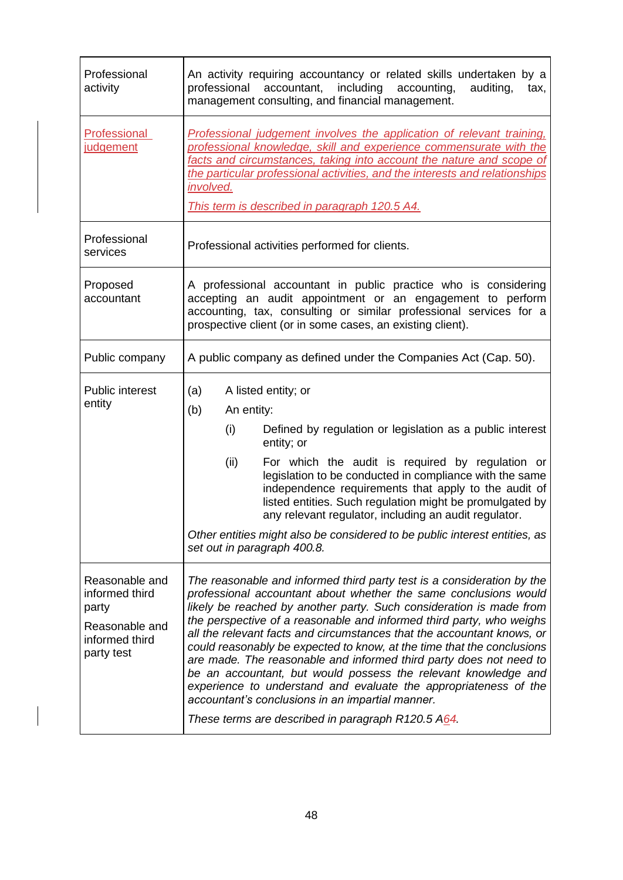| Professional<br>activity                                                                    | An activity requiring accountancy or related skills undertaken by a<br>professional accountant, including accounting,<br>auditing,<br>tax,<br>management consulting, and financial management.                                                                                                                                                                                                                                                                                                                                                                                                                                                                                                                                                                      |
|---------------------------------------------------------------------------------------------|---------------------------------------------------------------------------------------------------------------------------------------------------------------------------------------------------------------------------------------------------------------------------------------------------------------------------------------------------------------------------------------------------------------------------------------------------------------------------------------------------------------------------------------------------------------------------------------------------------------------------------------------------------------------------------------------------------------------------------------------------------------------|
| <b>Professional</b><br>judgement                                                            | Professional judgement involves the application of relevant training,<br>professional knowledge, skill and experience commensurate with the<br>facts and circumstances, taking into account the nature and scope of<br>the particular professional activities, and the interests and relationships<br>involved.<br>This term is described in paragraph 120.5 A4.                                                                                                                                                                                                                                                                                                                                                                                                    |
| Professional<br>services                                                                    | Professional activities performed for clients.                                                                                                                                                                                                                                                                                                                                                                                                                                                                                                                                                                                                                                                                                                                      |
| Proposed<br>accountant                                                                      | A professional accountant in public practice who is considering<br>accepting an audit appointment or an engagement to perform<br>accounting, tax, consulting or similar professional services for a<br>prospective client (or in some cases, an existing client).                                                                                                                                                                                                                                                                                                                                                                                                                                                                                                   |
| Public company                                                                              | A public company as defined under the Companies Act (Cap. 50).                                                                                                                                                                                                                                                                                                                                                                                                                                                                                                                                                                                                                                                                                                      |
| <b>Public interest</b><br>entity                                                            | (a)<br>A listed entity; or<br>(b)<br>An entity:<br>(i)<br>Defined by regulation or legislation as a public interest<br>entity; or<br>For which the audit is required by regulation or<br>(ii)<br>legislation to be conducted in compliance with the same<br>independence requirements that apply to the audit of<br>listed entities. Such regulation might be promulgated by<br>any relevant regulator, including an audit regulator.<br>Other entities might also be considered to be public interest entities, as<br>set out in paragraph 400.8.                                                                                                                                                                                                                  |
| Reasonable and<br>informed third<br>party<br>Reasonable and<br>informed third<br>party test | The reasonable and informed third party test is a consideration by the<br>professional accountant about whether the same conclusions would<br>likely be reached by another party. Such consideration is made from<br>the perspective of a reasonable and informed third party, who weighs<br>all the relevant facts and circumstances that the accountant knows, or<br>could reasonably be expected to know, at the time that the conclusions<br>are made. The reasonable and informed third party does not need to<br>be an accountant, but would possess the relevant knowledge and<br>experience to understand and evaluate the appropriateness of the<br>accountant's conclusions in an impartial manner.<br>These terms are described in paragraph R120.5 A64. |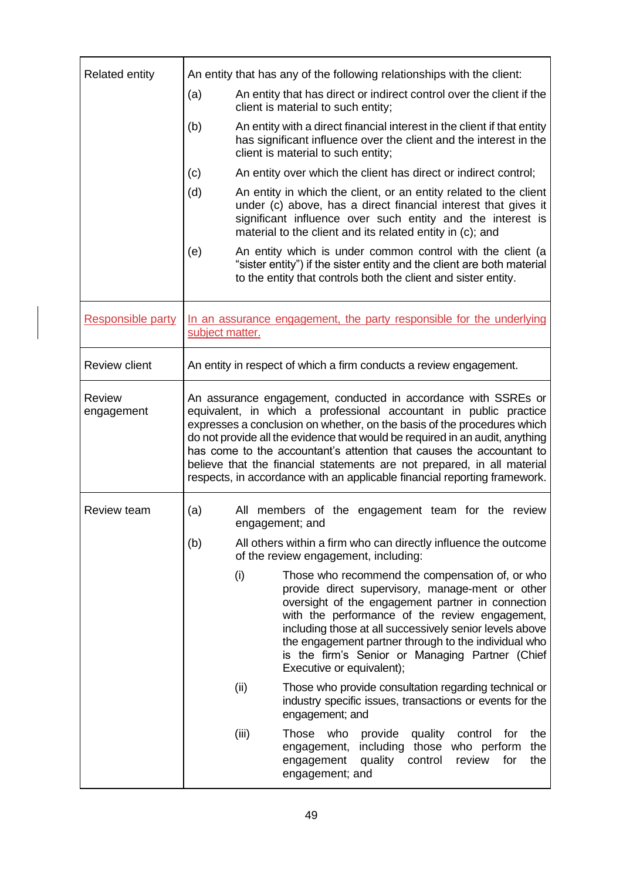| <b>Related entity</b>       | An entity that has any of the following relationships with the client:                                                                                                                                                                                                                                                                                                                                                                                                                                                         |                                                                                                                                                                                                                                                                                                                                                                                                               |  |
|-----------------------------|--------------------------------------------------------------------------------------------------------------------------------------------------------------------------------------------------------------------------------------------------------------------------------------------------------------------------------------------------------------------------------------------------------------------------------------------------------------------------------------------------------------------------------|---------------------------------------------------------------------------------------------------------------------------------------------------------------------------------------------------------------------------------------------------------------------------------------------------------------------------------------------------------------------------------------------------------------|--|
|                             | (a)                                                                                                                                                                                                                                                                                                                                                                                                                                                                                                                            | An entity that has direct or indirect control over the client if the<br>client is material to such entity;                                                                                                                                                                                                                                                                                                    |  |
|                             | (b)                                                                                                                                                                                                                                                                                                                                                                                                                                                                                                                            | An entity with a direct financial interest in the client if that entity<br>has significant influence over the client and the interest in the<br>client is material to such entity;                                                                                                                                                                                                                            |  |
|                             | (c)                                                                                                                                                                                                                                                                                                                                                                                                                                                                                                                            | An entity over which the client has direct or indirect control;                                                                                                                                                                                                                                                                                                                                               |  |
|                             | (d)                                                                                                                                                                                                                                                                                                                                                                                                                                                                                                                            | An entity in which the client, or an entity related to the client<br>under (c) above, has a direct financial interest that gives it<br>significant influence over such entity and the interest is<br>material to the client and its related entity in (c); and                                                                                                                                                |  |
|                             | (e)                                                                                                                                                                                                                                                                                                                                                                                                                                                                                                                            | An entity which is under common control with the client (a<br>"sister entity") if the sister entity and the client are both material<br>to the entity that controls both the client and sister entity.                                                                                                                                                                                                        |  |
| <b>Responsible party</b>    | In an assurance engagement, the party responsible for the underlying<br>subject matter.                                                                                                                                                                                                                                                                                                                                                                                                                                        |                                                                                                                                                                                                                                                                                                                                                                                                               |  |
| <b>Review client</b>        | An entity in respect of which a firm conducts a review engagement.                                                                                                                                                                                                                                                                                                                                                                                                                                                             |                                                                                                                                                                                                                                                                                                                                                                                                               |  |
| <b>Review</b><br>engagement | An assurance engagement, conducted in accordance with SSREs or<br>equivalent, in which a professional accountant in public practice<br>expresses a conclusion on whether, on the basis of the procedures which<br>do not provide all the evidence that would be required in an audit, anything<br>has come to the accountant's attention that causes the accountant to<br>believe that the financial statements are not prepared, in all material<br>respects, in accordance with an applicable financial reporting framework. |                                                                                                                                                                                                                                                                                                                                                                                                               |  |
| <b>Review team</b>          | (a)<br>All members of the engagement team for the review<br>engagement; and<br>(b)<br>All others within a firm who can directly influence the outcome<br>of the review engagement, including:                                                                                                                                                                                                                                                                                                                                  |                                                                                                                                                                                                                                                                                                                                                                                                               |  |
|                             |                                                                                                                                                                                                                                                                                                                                                                                                                                                                                                                                |                                                                                                                                                                                                                                                                                                                                                                                                               |  |
|                             | (i)                                                                                                                                                                                                                                                                                                                                                                                                                                                                                                                            | Those who recommend the compensation of, or who<br>provide direct supervisory, manage-ment or other<br>oversight of the engagement partner in connection<br>with the performance of the review engagement,<br>including those at all successively senior levels above<br>the engagement partner through to the individual who<br>is the firm's Senior or Managing Partner (Chief<br>Executive or equivalent); |  |
|                             | (ii)                                                                                                                                                                                                                                                                                                                                                                                                                                                                                                                           | Those who provide consultation regarding technical or<br>industry specific issues, transactions or events for the<br>engagement; and                                                                                                                                                                                                                                                                          |  |
|                             | (iii)                                                                                                                                                                                                                                                                                                                                                                                                                                                                                                                          | Those<br>who<br>provide<br>control<br>for<br>the<br>quality<br>the<br>including<br>those who perform<br>engagement,<br>quality<br>control<br>review<br>for<br>the<br>engagement<br>engagement; and                                                                                                                                                                                                            |  |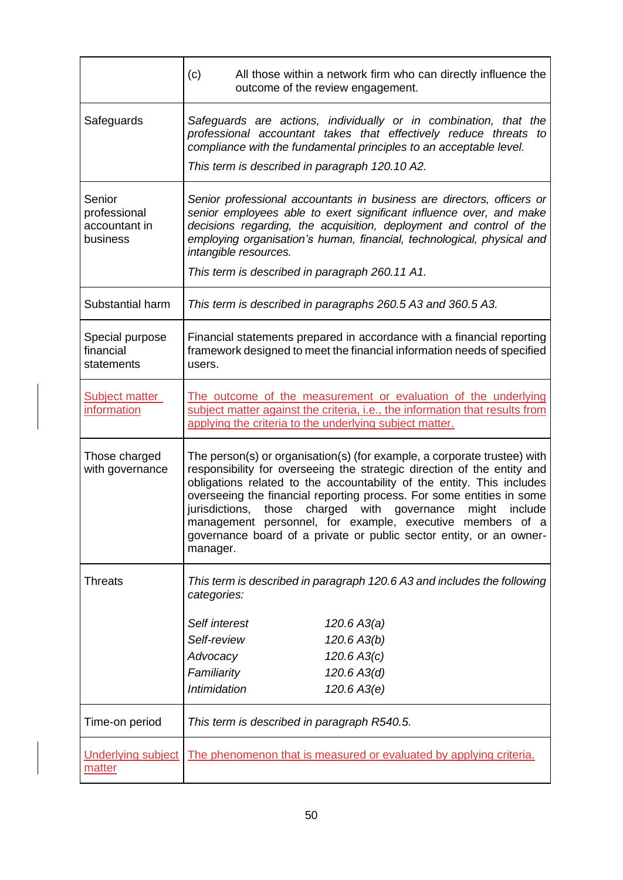|                                                     | (c)                                                                                                                                                                                                                                                                                                                                                                                                                                                                                                                              | All those within a network firm who can directly influence the<br>outcome of the review engagement.                                                                                                                                                                                            |  |
|-----------------------------------------------------|----------------------------------------------------------------------------------------------------------------------------------------------------------------------------------------------------------------------------------------------------------------------------------------------------------------------------------------------------------------------------------------------------------------------------------------------------------------------------------------------------------------------------------|------------------------------------------------------------------------------------------------------------------------------------------------------------------------------------------------------------------------------------------------------------------------------------------------|--|
| Safeguards                                          | Safeguards are actions, individually or in combination, that the<br>professional accountant takes that effectively reduce threats to<br>compliance with the fundamental principles to an acceptable level.<br>This term is described in paragraph 120.10 A2.                                                                                                                                                                                                                                                                     |                                                                                                                                                                                                                                                                                                |  |
| Senior<br>professional<br>accountant in<br>business | intangible resources.<br>This term is described in paragraph 260.11 A1.                                                                                                                                                                                                                                                                                                                                                                                                                                                          | Senior professional accountants in business are directors, officers or<br>senior employees able to exert significant influence over, and make<br>decisions regarding, the acquisition, deployment and control of the<br>employing organisation's human, financial, technological, physical and |  |
| Substantial harm                                    |                                                                                                                                                                                                                                                                                                                                                                                                                                                                                                                                  | This term is described in paragraphs 260.5 A3 and 360.5 A3.                                                                                                                                                                                                                                    |  |
|                                                     |                                                                                                                                                                                                                                                                                                                                                                                                                                                                                                                                  |                                                                                                                                                                                                                                                                                                |  |
| Special purpose<br>financial<br>statements          | Financial statements prepared in accordance with a financial reporting<br>framework designed to meet the financial information needs of specified<br>users.                                                                                                                                                                                                                                                                                                                                                                      |                                                                                                                                                                                                                                                                                                |  |
| <b>Subject matter</b><br>information                | The outcome of the measurement or evaluation of the underlying<br>subject matter against the criteria, i.e., the information that results from<br>applying the criteria to the underlying subject matter.                                                                                                                                                                                                                                                                                                                        |                                                                                                                                                                                                                                                                                                |  |
| Those charged<br>with governance                    | The person(s) or organisation(s) (for example, a corporate trustee) with<br>responsibility for overseeing the strategic direction of the entity and<br>obligations related to the accountability of the entity. This includes<br>overseeing the financial reporting process. For some entities in some<br>jurisdictions,<br>those<br>charged with governance<br>might<br>include<br>management personnel, for example, executive members of a<br>governance board of a private or public sector entity, or an owner-<br>manager. |                                                                                                                                                                                                                                                                                                |  |
| <b>Threats</b>                                      | This term is described in paragraph 120.6 A3 and includes the following<br>categories:                                                                                                                                                                                                                                                                                                                                                                                                                                           |                                                                                                                                                                                                                                                                                                |  |
|                                                     | Self interest                                                                                                                                                                                                                                                                                                                                                                                                                                                                                                                    | 120.6 A3(a)                                                                                                                                                                                                                                                                                    |  |
|                                                     | Self-review                                                                                                                                                                                                                                                                                                                                                                                                                                                                                                                      | 120.6 A3(b)                                                                                                                                                                                                                                                                                    |  |
|                                                     | Advocacy                                                                                                                                                                                                                                                                                                                                                                                                                                                                                                                         | 120.6 A3(c)                                                                                                                                                                                                                                                                                    |  |
|                                                     | Familiarity                                                                                                                                                                                                                                                                                                                                                                                                                                                                                                                      | 120.6 A3(d)                                                                                                                                                                                                                                                                                    |  |
|                                                     | Intimidation                                                                                                                                                                                                                                                                                                                                                                                                                                                                                                                     | 120.6 A3(e)                                                                                                                                                                                                                                                                                    |  |
| Time-on period                                      | This term is described in paragraph R540.5.                                                                                                                                                                                                                                                                                                                                                                                                                                                                                      |                                                                                                                                                                                                                                                                                                |  |
| <b>Underlying subject</b><br>matter                 |                                                                                                                                                                                                                                                                                                                                                                                                                                                                                                                                  | The phenomenon that is measured or evaluated by applying criteria.                                                                                                                                                                                                                             |  |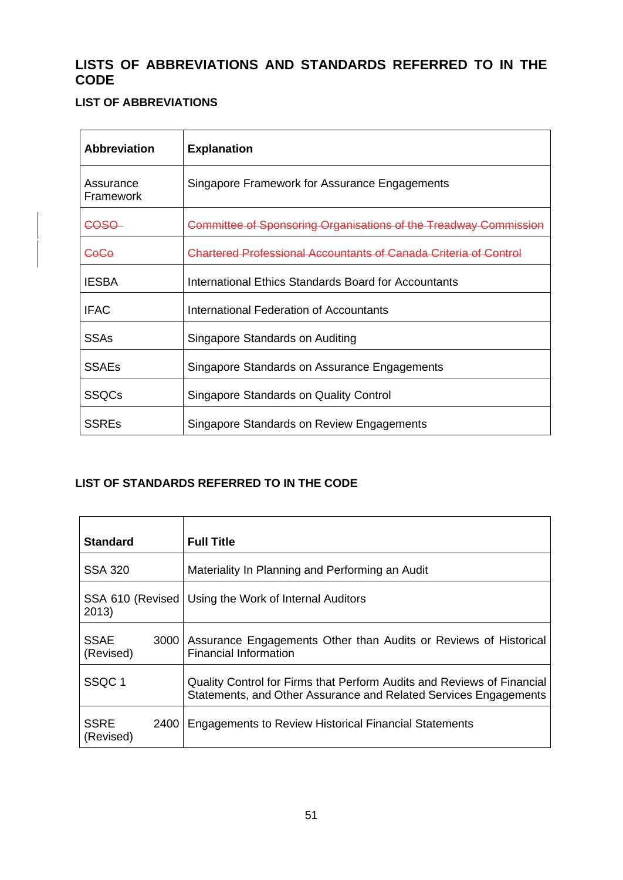## **LISTS OF ABBREVIATIONS AND STANDARDS REFERRED TO IN THE CODE**

## **LIST OF ABBREVIATIONS**

| <b>Abbreviation</b>           | <b>Explanation</b>                                               |
|-------------------------------|------------------------------------------------------------------|
| Assurance<br><b>Framework</b> | Singapore Framework for Assurance Engagements                    |
| COSO                          | Committee of Sponsoring Organisations of the Treadway Commission |
| CoCo                          | Chartered Professional Accountants of Canada Criteria of Control |
| <b>IESBA</b>                  | International Ethics Standards Board for Accountants             |
| <b>IFAC</b>                   | International Federation of Accountants                          |
| <b>SSAs</b>                   | Singapore Standards on Auditing                                  |
| <b>SSAEs</b>                  | Singapore Standards on Assurance Engagements                     |
| <b>SSQCs</b>                  | Singapore Standards on Quality Control                           |
| <b>SSREs</b>                  | Singapore Standards on Review Engagements                        |

## **LIST OF STANDARDS REFERRED TO IN THE CODE**

| <b>Standard</b>                  | <b>Full Title</b>                                                                                                                          |
|----------------------------------|--------------------------------------------------------------------------------------------------------------------------------------------|
| <b>SSA 320</b>                   | Materiality In Planning and Performing an Audit                                                                                            |
| SSA 610 (Revised)<br>2013)       | Using the Work of Internal Auditors                                                                                                        |
| <b>SSAE</b><br>3000<br>(Revised) | Assurance Engagements Other than Audits or Reviews of Historical<br><b>Financial Information</b>                                           |
| SSQC <sub>1</sub>                | Quality Control for Firms that Perform Audits and Reviews of Financial<br>Statements, and Other Assurance and Related Services Engagements |
| <b>SSRE</b><br>2400<br>(Revised) | <b>Engagements to Review Historical Financial Statements</b>                                                                               |